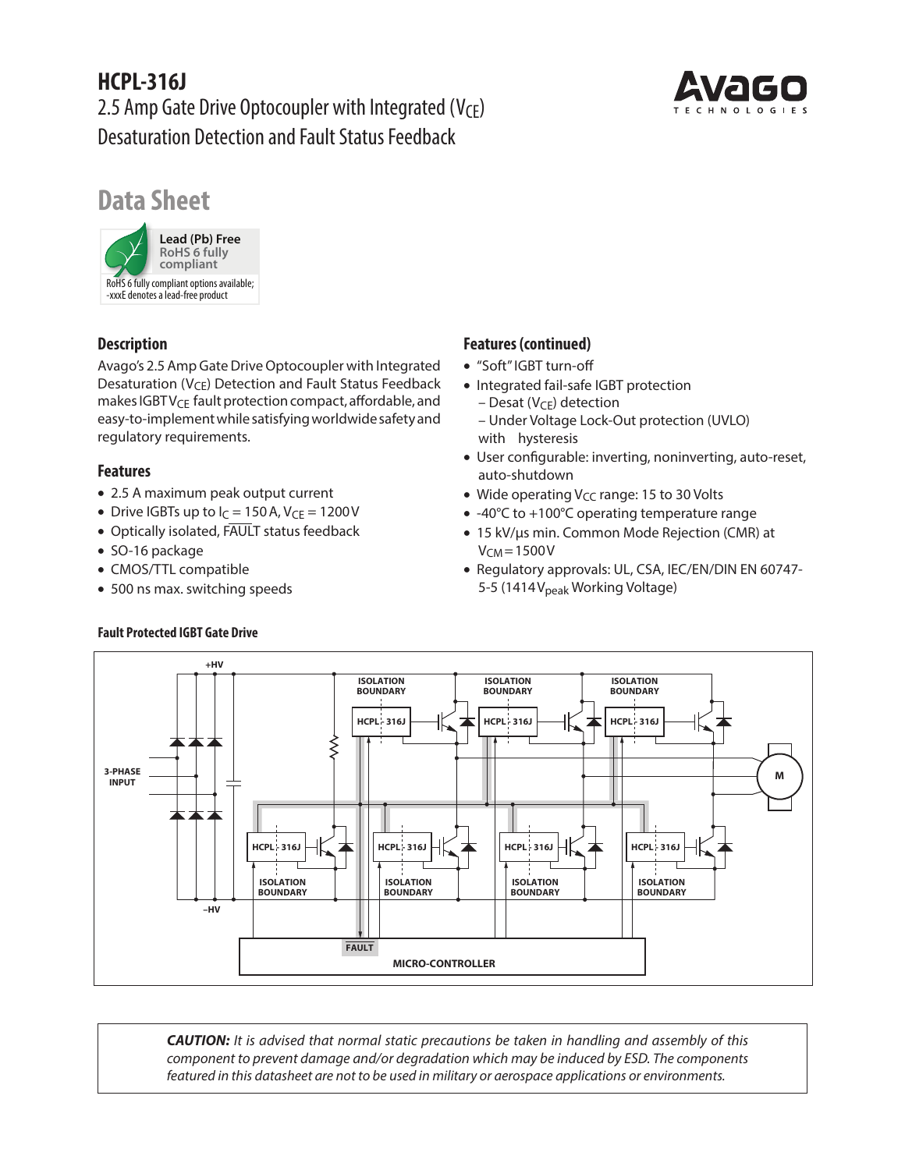# **HCPL-316J** 2.5 Amp Gate Drive Optocoupler with Integrated ( $V_{\text{CE}}$ ) Desaturation Detection and Fault Status Feedback



# **Data Sheet**



# **Description**

Avago's 2.5 Amp Gate Drive Optocoupler with Integrated Desaturation ( $V_{CE}$ ) Detection and Fault Status Feedback makes IGBT V<sub>CE</sub> fault protection compact, affordable, and easy-to-implement while satisfying worldwide safety and regulatory requirements.

## **Features**

- 2.5 A maximum peak output current
- Drive IGBTs up to  $I_C = 150$  A,  $V_{CE} = 1200$  V
- Optically isolated, FAULT status feedback
- SO-16 package
- CMOS/TTL compatible
- 500 ns max. switching speeds

# **Features (continued)**

- "Soft" IGBT turn-off
- Integrated fail-safe IGBT protection
	- $-$  Desat (V<sub>CE</sub>) detection
	- Under Voltage Lock-Out protection (UVLO) with hysteresis
- User configurable: inverting, noninverting, auto-reset, auto-shutdown
- Wide operating  $V_{CC}$  range: 15 to 30 Volts
- -40°C to +100°C operating temperature range
- 15 kV/µs min. Common Mode Rejection (CMR) at  $V<sub>CM</sub>=1500V$
- Regulatory approvals: UL, CSA, IEC/EN/DIN EN 60747- 5-5 (1414 V<sub>peak</sub> Working Voltage)



*CAUTION: It is advised that normal static precautions be taken in handling and assembly of this component to prevent damage and/or degradation which may be induced by ESD. The components featured in this datasheet are not to be used in military or aerospace applications or environments.*

#### **Fault Protected IGBT Gate Drive**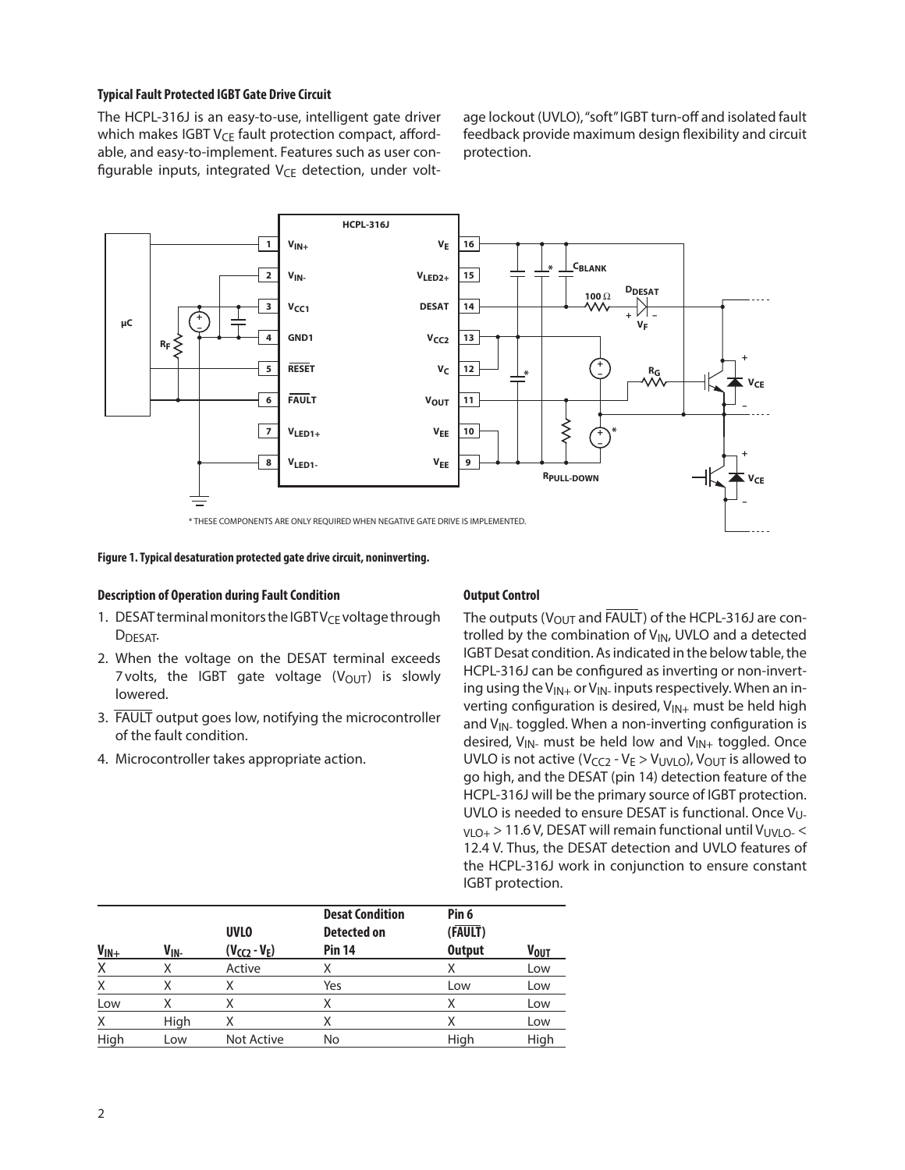#### **Typical Fault Protected IGBT Gate Drive Circuit**

The HCPL-316J is an easy-to-use, intelligent gate driver which makes IGBT V<sub>CE</sub> fault protection compact, affordable, and easy-to-implement. Features such as user configurable inputs, integrated  $V_{CE}$  detection, under voltage lockout (UVLO), "soft" IGBT turn-off and isolated fault feedback provide maximum design flexibility and circuit protection.



#### **Figure 1. Typical desaturation protected gate drive circuit, noninverting.**

#### **Description of Operation during Fault Condition**

- 1. DESAT terminal monitors the IGBT V<sub>CE</sub> voltage through D<sub>DESAT</sub>.
- 2. When the voltage on the DESAT terminal exceeds 7 volts, the IGBT gate voltage  $(V_{\text{OUT}})$  is slowly lowered.
- 3. FAULT output goes low, notifying the microcontroller of the fault condition.
- 4. Microcontroller takes appropriate action.

#### **Output Control**

The outputs ( $V_{\text{OUT}}$  and  $\overline{\text{FAULT}}$ ) of the HCPL-316J are controlled by the combination of V<sub>IN</sub>, UVLO and a detected IGBT Desat condition. As indicated in the below table, the HCPL-316J can be configured as inverting or non-inverting using the  $V_{IN+}$  or  $V_{IN-}$  inputs respectively. When an inverting configuration is desired,  $V_{IN+}$  must be held high and  $V_{IN}$  toggled. When a non-inverting configuration is desired,  $V_{IN}$  must be held low and  $V_{IN}$  toggled. Once UVLO is not active ( $V_{CC2}$  -  $V_E > V_{UVLO}$ ),  $V_{OUT}$  is allowed to go high, and the DESAT (pin 14) detection feature of the HCPL-316J will be the primary source of IGBT protection. UVLO is needed to ensure DESAT is functional. Once V<sub>U-</sub>  $V1O+$  > 11.6 V, DESAT will remain functional until V<sub>UVLO</sub>- $<$ 12.4 V. Thus, the DESAT detection and UVLO features of the HCPL-316J work in conjunction to ensure constant IGBT protection.

|           |                  |                   | <b>Desat Condition</b> | Pin <sub>6</sub> |             |
|-----------|------------------|-------------------|------------------------|------------------|-------------|
|           |                  | <b>UVLO</b>       | Detected on            | (FAULT)          |             |
| $V_{IN+}$ | V <sub>IN-</sub> | $(V_{CC2} - V_E)$ | <b>Pin 14</b>          | <b>Output</b>    | <b>VOUT</b> |
| X         | Χ                | Active            |                        |                  | Low         |
| Χ         | Х                | Χ                 | Yes                    | Low              | Low         |
| Low       | Χ                | Χ                 |                        |                  | Low         |
| Χ         | High             | Χ                 |                        |                  | Low         |
| High      | Low              | Not Active        | No                     | High             | High        |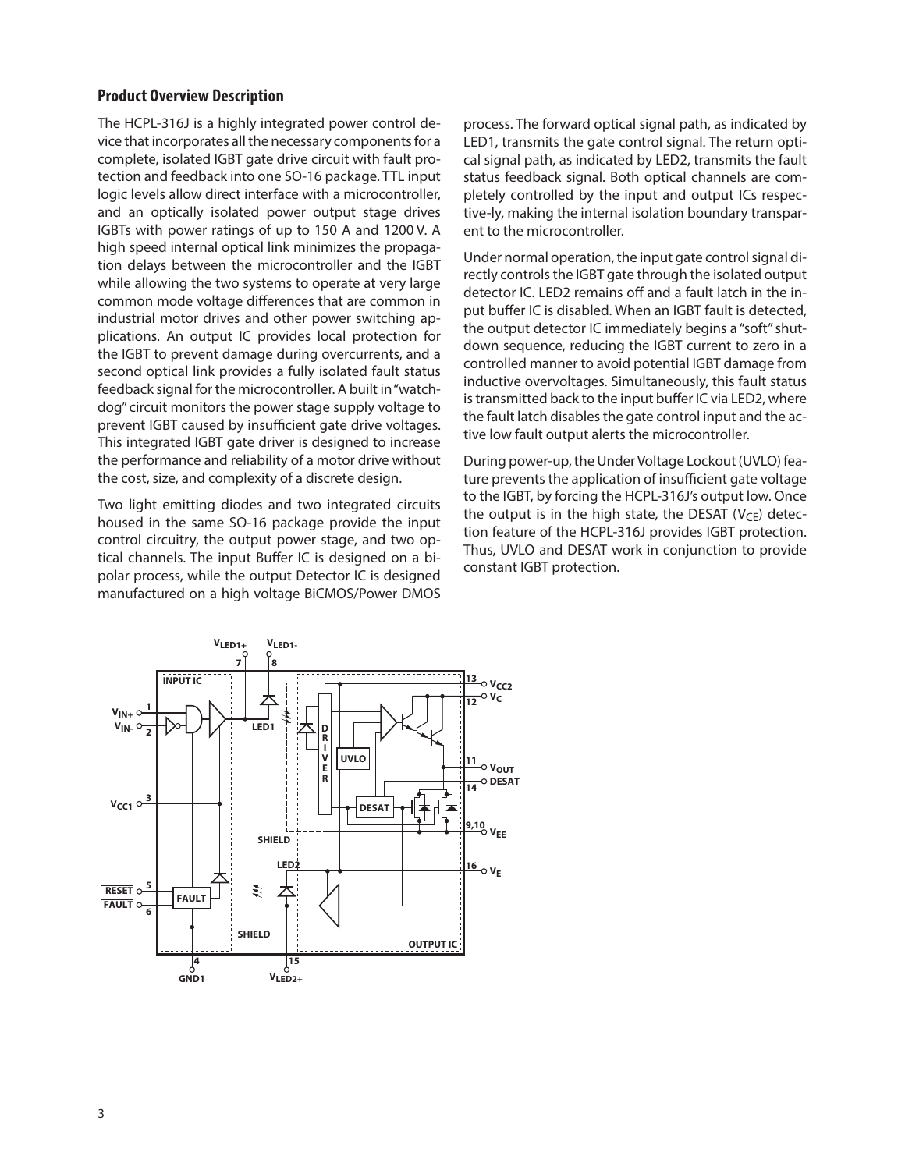#### **Product Overview Description**

The HCPL-316J is a highly integrated power control device that incorporates all the necessary components for a complete, isolated IGBT gate drive circuit with fault protection and feedback into one SO-16 package. TTL input logic levels allow direct interface with a microcontroller, and an optically isolated power output stage drives IGBTs with power ratings of up to 150 A and 1200 V. A high speed internal optical link minimizes the propagation delays between the microcontroller and the IGBT while allowing the two systems to operate at very large common mode voltage differences that are common in industrial motor drives and other power switching applications. An output IC provides local protection for the IGBT to prevent damage during overcurrents, and a second optical link provides a fully isolated fault status feedback signal for the microcontroller. A built in "watchdog" circuit monitors the power stage supply voltage to prevent IGBT caused by insufficient gate drive voltages. This integrated IGBT gate driver is designed to increase the performance and reliability of a motor drive without the cost, size, and complexity of a discrete design.

Two light emitting diodes and two integrated circuits housed in the same SO-16 package provide the input control circuitry, the output power stage, and two optical channels. The input Buffer IC is designed on a bipolar process, while the output Detector IC is designed manufactured on a high voltage BiCMOS/Power DMOS

process. The forward optical signal path, as indicated by LED1, transmits the gate control signal. The return optical signal path, as indicated by LED2, transmits the fault status feedback signal. Both optical channels are completely controlled by the input and output ICs respective-ly, making the internal isolation boundary transparent to the microcontroller.

Under normal operation, the input gate control signal directly controls the IGBT gate through the isolated output detector IC. LED2 remains off and a fault latch in the input buffer IC is disabled. When an IGBT fault is detected, the output detector IC immediately begins a "soft" shutdown sequence, reducing the IGBT current to zero in a controlled manner to avoid potential IGBT damage from inductive overvoltages. Simultaneously, this fault status is transmitted back to the input buffer IC via LED2, where the fault latch disables the gate control input and the active low fault output alerts the microcontroller.

During power-up, the Under Voltage Lockout (UVLO) feature prevents the application of insufficient gate voltage to the IGBT, by forcing the HCPL-316J's output low. Once the output is in the high state, the DESAT  $(V_{CE})$  detection feature of the HCPL-316J provides IGBT protection. Thus, UVLO and DESAT work in conjunction to provide constant IGBT protection.

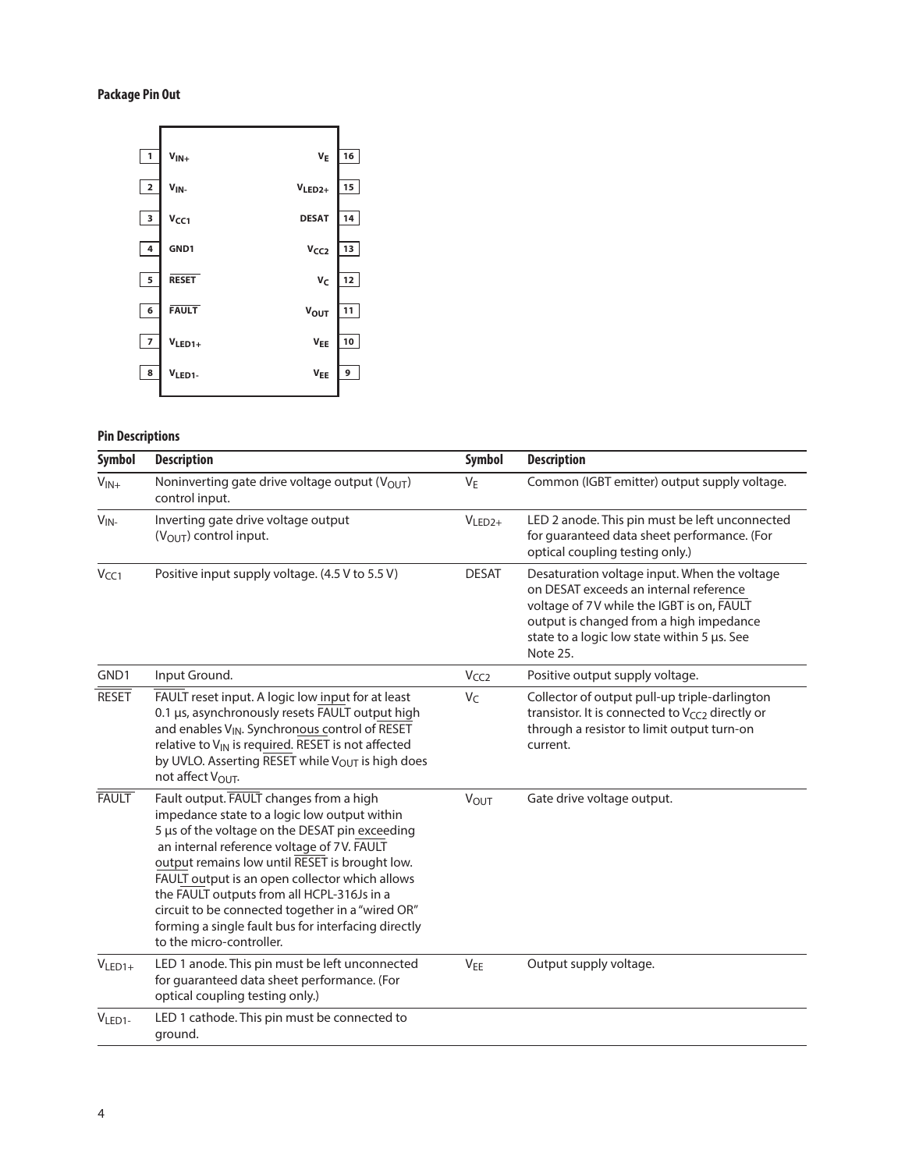# **Package Pin Out**



# **Pin Descriptions**

| <b>Symbol</b>       | <b>Description</b>                                                                                                                                                                                                                                                                                                                                                                                                                                                               | <b>Symbol</b>    | <b>Description</b>                                                                                                                                                                                                                        |
|---------------------|----------------------------------------------------------------------------------------------------------------------------------------------------------------------------------------------------------------------------------------------------------------------------------------------------------------------------------------------------------------------------------------------------------------------------------------------------------------------------------|------------------|-------------------------------------------------------------------------------------------------------------------------------------------------------------------------------------------------------------------------------------------|
| $V_{IN+}$           | Noninverting gate drive voltage output (VOUT)<br>control input.                                                                                                                                                                                                                                                                                                                                                                                                                  | $V_{E}$          | Common (IGBT emitter) output supply voltage.                                                                                                                                                                                              |
| $V_{IN}$            | Inverting gate drive voltage output<br>(V <sub>OUT</sub> ) control input.                                                                                                                                                                                                                                                                                                                                                                                                        | $VLED2+$         | LED 2 anode. This pin must be left unconnected<br>for guaranteed data sheet performance. (For<br>optical coupling testing only.)                                                                                                          |
| V <sub>CC1</sub>    | Positive input supply voltage. (4.5 V to 5.5 V)                                                                                                                                                                                                                                                                                                                                                                                                                                  | <b>DESAT</b>     | Desaturation voltage input. When the voltage<br>on DESAT exceeds an internal reference<br>voltage of 7V while the IGBT is on, FAULT<br>output is changed from a high impedance<br>state to a logic low state within 5 us. See<br>Note 25. |
| GND1                | Input Ground.                                                                                                                                                                                                                                                                                                                                                                                                                                                                    | V <sub>CC2</sub> | Positive output supply voltage.                                                                                                                                                                                                           |
| <b>RESET</b>        | FAULT reset input. A logic low input for at least<br>0.1 µs, asynchronously resets FAULT output high<br>and enables V <sub>IN</sub> . Synchronous control of RESET<br>relative to VIN is required. RESET is not affected<br>by UVLO. Asserting RESET while V <sub>OUT</sub> is high does<br>not affect VOUT.                                                                                                                                                                     | $V_C$            | Collector of output pull-up triple-darlington<br>transistor. It is connected to V <sub>CC2</sub> directly or<br>through a resistor to limit output turn-on<br>current.                                                                    |
| <b>FAULT</b>        | Fault output. FAULT changes from a high<br>impedance state to a logic low output within<br>5 µs of the voltage on the DESAT pin exceeding<br>an internal reference voltage of 7V. FAULT<br>output remains low until RESET is brought low.<br>FAULT output is an open collector which allows<br>the FAULT outputs from all HCPL-316Js in a<br>circuit to be connected together in a "wired OR"<br>forming a single fault bus for interfacing directly<br>to the micro-controller. | <b>VOUT</b>      | Gate drive voltage output.                                                                                                                                                                                                                |
| $V_{LED1+}$         | LED 1 anode. This pin must be left unconnected<br>for guaranteed data sheet performance. (For<br>optical coupling testing only.)                                                                                                                                                                                                                                                                                                                                                 | VEE              | Output supply voltage.                                                                                                                                                                                                                    |
| VLED <sub>1</sub> - | LED 1 cathode. This pin must be connected to<br>ground.                                                                                                                                                                                                                                                                                                                                                                                                                          |                  |                                                                                                                                                                                                                                           |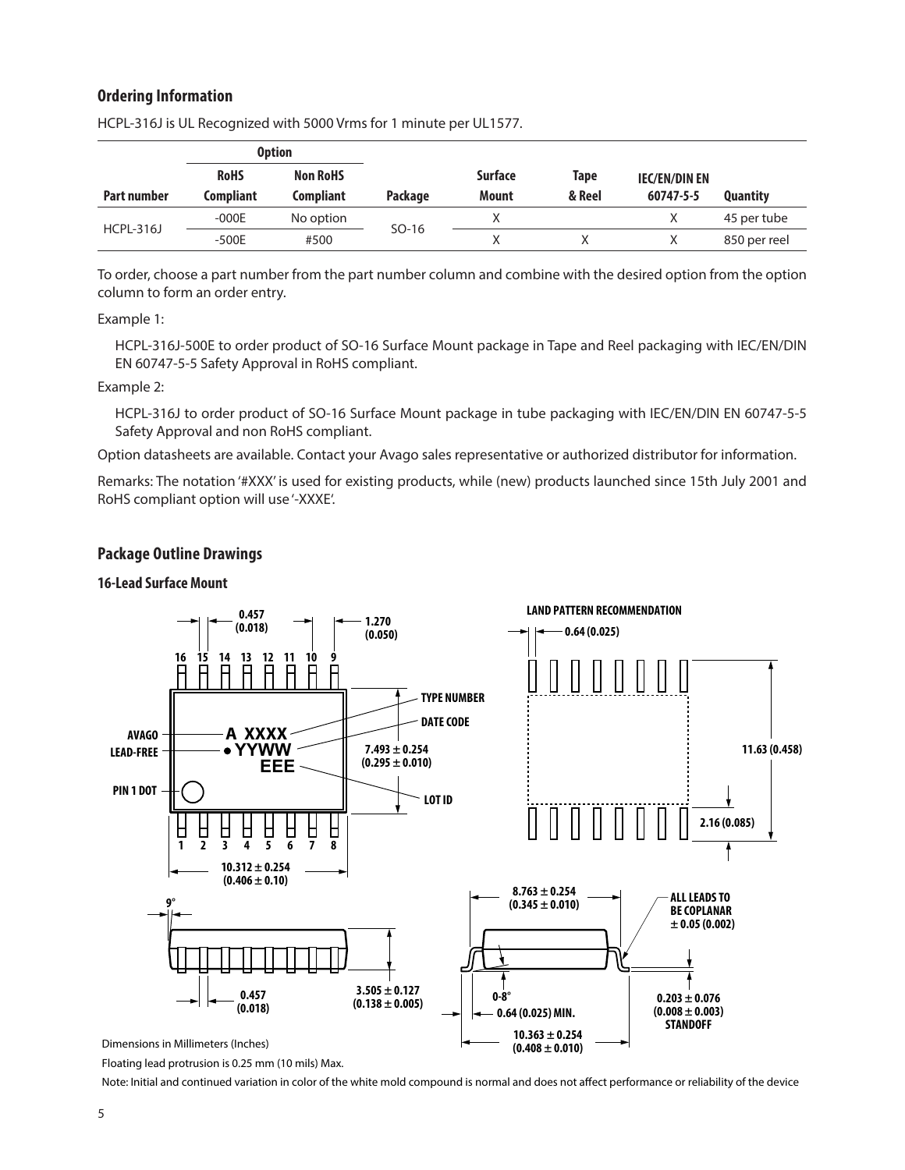## **Ordering Information**

| <b>Option</b>    |             |                 |                |                |        |                      |                 |
|------------------|-------------|-----------------|----------------|----------------|--------|----------------------|-----------------|
|                  | <b>RoHS</b> | <b>Non RoHS</b> |                | <b>Surface</b> | Tape   | <b>IEC/EN/DIN EN</b> |                 |
| Part number      | Compliant   | Compliant       | <b>Package</b> | Mount          | & Reel | 60747-5-5            | <b>Quantity</b> |
| <b>HCPL-316J</b> | $-000E$     | No option       | $SO-16$        |                |        |                      | 45 per tube     |
|                  | $-500E$     | #500            |                |                |        |                      | 850 per reel    |

HCPL-316J is UL Recognized with 5000 Vrms for 1 minute per UL1577.

To order, choose a part number from the part number column and combine with the desired option from the option column to form an order entry.

Example 1:

HCPL-316J-500E to order product of SO-16 Surface Mount package in Tape and Reel packaging with IEC/EN/DIN EN 60747-5-5 Safety Approval in RoHS compliant.

Example 2:

HCPL-316J to order product of SO-16 Surface Mount package in tube packaging with IEC/EN/DIN EN 60747-5-5 Safety Approval and non RoHS compliant.

Option datasheets are available. Contact your Avago sales representative or authorized distributor for information.

Remarks: The notation '#XXX' is used for existing products, while (new) products launched since 15th July 2001 and RoHS compliant option will use '-XXXE'.

## **Package Outline Drawings**

#### **16-Lead Surface Mount**



Floating lead protrusion is 0.25 mm (10 mils) Max.

Note: Initial and continued variation in color of the white mold compound is normal and does not affect performance or reliability of the device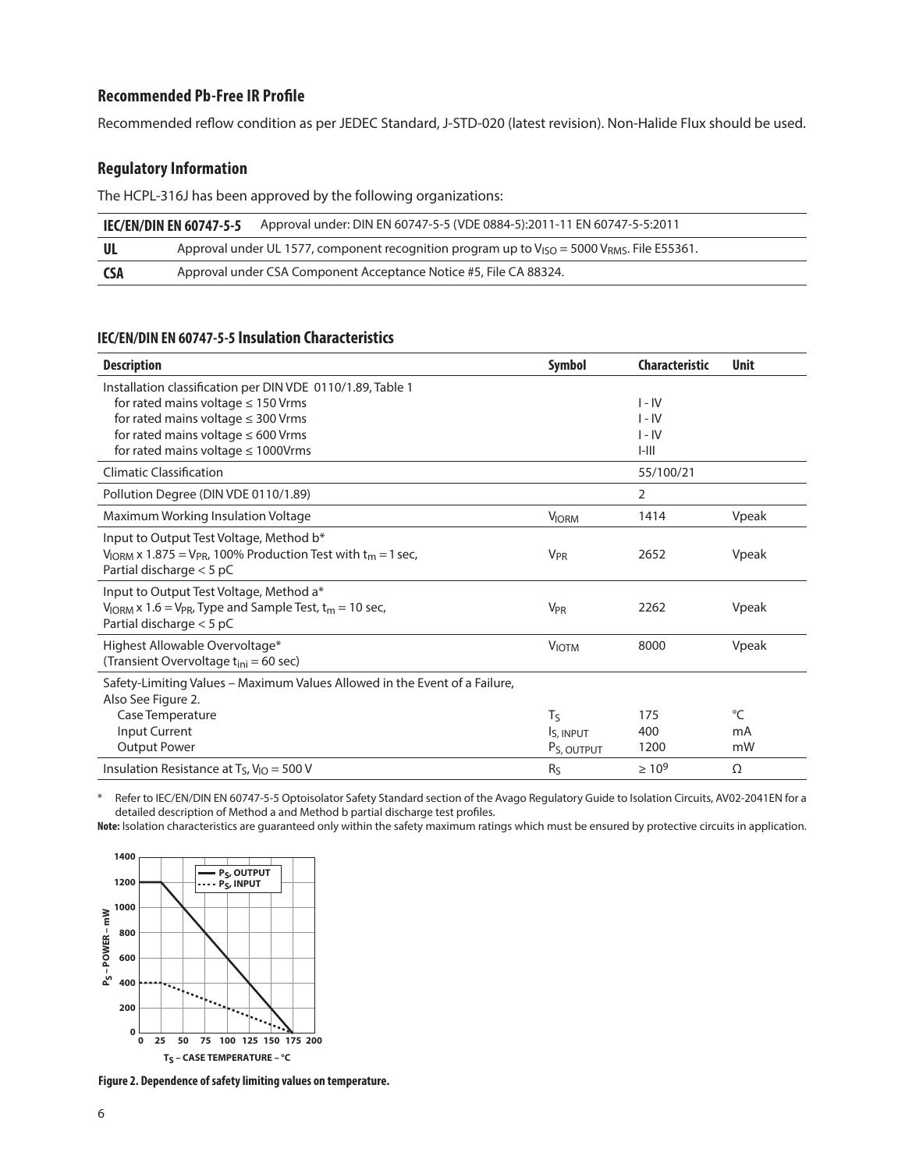## **Recommended Pb-Free IR Profile**

Recommended reflow condition as per JEDEC Standard, J-STD-020 (latest revision). Non-Halide Flux should be used.

#### **Regulatory Information**

The HCPL-316J has been approved by the following organizations:

|            | <b>IEC/EN/DIN EN 60747-5-5</b> | Approval under: DIN EN 60747-5-5 (VDE 0884-5):2011-11 EN 60747-5-5:2011                                             |
|------------|--------------------------------|---------------------------------------------------------------------------------------------------------------------|
| UL         |                                | Approval under UL 1577, component recognition program up to $V_{\text{ISO}}$ = 5000 $V_{\text{RMS}}$ . File E55361. |
| <b>CSA</b> |                                | Approval under CSA Component Acceptance Notice #5, File CA 88324.                                                   |

#### **IEC/EN/DIN EN 60747-5-5 Insulation Characteristics**

| <b>Description</b>                                                                                                                                            | <b>Symbol</b>           | <b>Characteristic</b> | <b>Unit</b>  |
|---------------------------------------------------------------------------------------------------------------------------------------------------------------|-------------------------|-----------------------|--------------|
| Installation classification per DIN VDE 0110/1.89, Table 1                                                                                                    |                         |                       |              |
| for rated mains voltage $\leq 150$ Vrms                                                                                                                       |                         | $I - IV$              |              |
| for rated mains voltage $\leq$ 300 Vrms                                                                                                                       |                         | $I - IV$              |              |
| for rated mains voltage $\leq 600$ Vrms                                                                                                                       |                         | $I - IV$              |              |
| for rated mains voltage $\leq 1000$ Vrms                                                                                                                      |                         | $I$ - $III$           |              |
| <b>Climatic Classification</b>                                                                                                                                |                         | 55/100/21             |              |
| Pollution Degree (DIN VDE 0110/1.89)                                                                                                                          |                         | $\overline{2}$        |              |
| Maximum Working Insulation Voltage                                                                                                                            | <b>VIORM</b>            | 1414                  | Vpeak        |
| Input to Output Test Voltage, Method b*<br>$V_{\text{IORM}}$ x 1.875 = $V_{\text{PR}}$ , 100% Production Test with $t_m$ = 1 sec,<br>Partial discharge < 5 pC | <b>V<sub>PR</sub></b>   | 2652                  | Vpeak        |
| Input to Output Test Voltage, Method a*<br>$V_{\text{IORM}}$ x 1.6 = $V_{\text{PR}}$ , Type and Sample Test, $t_m$ = 10 sec,<br>Partial discharge $<$ 5 pC    | <b>V<sub>PR</sub></b>   | 2262                  | Vpeak        |
| Highest Allowable Overvoltage*<br>(Transient Overvoltage t <sub>ini</sub> = 60 sec)                                                                           | <b>VIOTM</b>            | 8000                  | Vpeak        |
| Safety-Limiting Values - Maximum Values Allowed in the Event of a Failure,<br>Also See Figure 2.                                                              |                         |                       |              |
| Case Temperature                                                                                                                                              | $T_S$                   | 175                   | $\mathrm{C}$ |
| Input Current                                                                                                                                                 | Is, INPUT               | 400                   | mA           |
| <b>Output Power</b>                                                                                                                                           | P <sub>S</sub> , OUTPUT | 1200                  | mW           |
| Insulation Resistance at $T_S$ , $V_{1O} = 500$ V                                                                                                             | R <sub>S</sub>          | $\geq 10^9$           | Ω            |

Refer to IEC/EN/DIN EN 60747-5-5 Optoisolator Safety Standard section of the Avago Regulatory Guide to Isolation Circuits, AV02-2041EN for a detailed description of Method a and Method b partial discharge test profiles.

**Note:** Isolation characteristics are guaranteed only within the safety maximum ratings which must be ensured by protective circuits in application.



**Figure 2. Dependence of safety limiting values on temperature.**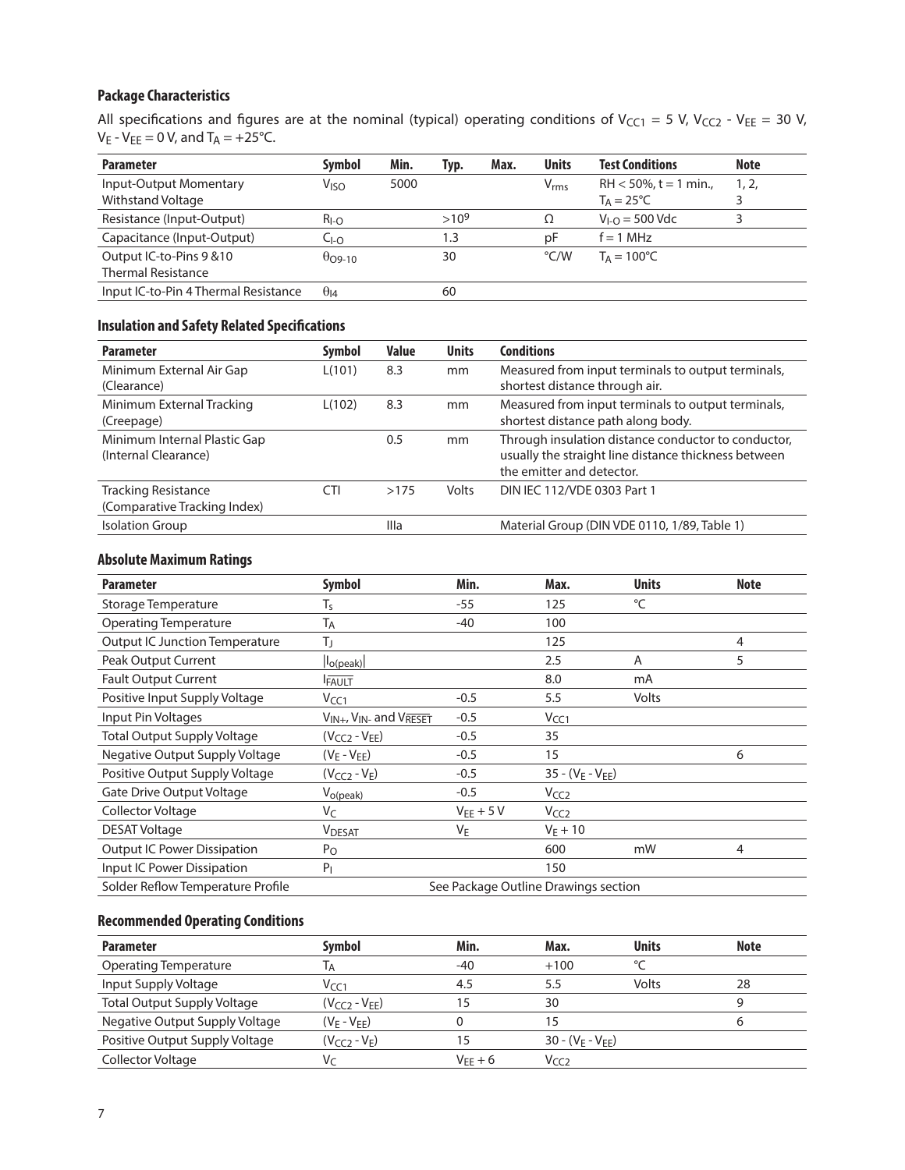## **Package Characteristics**

All specifications and figures are at the nominal (typical) operating conditions of V<sub>CC1</sub> = 5 V, V<sub>CC2</sub> - V<sub>EE</sub> = 30 V,  $V_E$  -  $V_{EE}$  = 0 V, and T<sub>A</sub> = +25°C.

| <b>Parameter</b>                                      | Symbol           | Min. | Typ.      | Max. | <b>Units</b>  | <b>Test Conditions</b>                           | <b>Note</b> |
|-------------------------------------------------------|------------------|------|-----------|------|---------------|--------------------------------------------------|-------------|
| Input-Output Momentary<br><b>Withstand Voltage</b>    | V <sub>ISO</sub> | 5000 |           |      | $V_{rms}$     | $RH < 50\%$ , t = 1 min.,<br>$T_A = 25^{\circ}C$ | 1, 2,<br>3  |
| Resistance (Input-Output)                             | $R_{I-O}$        |      | $>10^{9}$ |      | Ω             | $V_{1-0} = 500$ Vdc                              | 3           |
| Capacitance (Input-Output)                            | $CI-O$           |      | 1.3       |      | рF            | $f = 1$ MHz                                      |             |
| Output IC-to-Pins 9 & 10<br><b>Thermal Resistance</b> | $\theta$ O9-10   |      | 30        |      | $\degree$ C/W | $T_{\Delta} = 100^{\circ}C$                      |             |
| Input IC-to-Pin 4 Thermal Resistance                  | $\theta_{14}$    |      | 60        |      |               |                                                  |             |

# **Insulation and Safety Related Specifications**

| <b>Parameter</b>                                           | Symbol | <b>Value</b> | <b>Units</b> | <b>Conditions</b>                                                                                                                        |
|------------------------------------------------------------|--------|--------------|--------------|------------------------------------------------------------------------------------------------------------------------------------------|
| Minimum External Air Gap<br>(Clearance)                    | L(101) | 8.3          | mm           | Measured from input terminals to output terminals,<br>shortest distance through air.                                                     |
| Minimum External Tracking<br>(Creepage)                    | L(102) | 8.3          | mm           | Measured from input terminals to output terminals,<br>shortest distance path along body.                                                 |
| Minimum Internal Plastic Gap<br>(Internal Clearance)       |        | 0.5          | mm           | Through insulation distance conductor to conductor,<br>usually the straight line distance thickness between<br>the emitter and detector. |
| <b>Tracking Resistance</b><br>(Comparative Tracking Index) | CTI    | >175         | Volts        | DIN IEC 112/VDE 0303 Part 1                                                                                                              |
| <b>Isolation Group</b>                                     |        | Illa         |              | Material Group (DIN VDE 0110, 1/89, Table 1)                                                                                             |

#### **Absolute Maximum Ratings**

| Parameter                             | <b>Symbol</b>                        | Min.          | Max.                  | <b>Units</b> | <b>Note</b>    |  |
|---------------------------------------|--------------------------------------|---------------|-----------------------|--------------|----------------|--|
| Storage Temperature                   | $T_{\sf s}$                          | $-55$         | 125                   | °C           |                |  |
| <b>Operating Temperature</b>          | Т <sub>А</sub>                       | -40           | 100                   |              |                |  |
| <b>Output IC Junction Temperature</b> | Tj                                   |               | 125                   |              | $\overline{4}$ |  |
| Peak Output Current                   | $I_{o (peak)}$                       |               | 2.5                   | A            | 5              |  |
| <b>Fault Output Current</b>           | <b>IFAULT</b>                        |               | 8.0                   | mA           |                |  |
| Positive Input Supply Voltage         | V <sub>CC1</sub>                     | $-0.5$        | 5.5                   | Volts        |                |  |
| Input Pin Voltages                    | $V_{IN+}$ , $V_{IN-}$ and $V_{RFST}$ | $-0.5$        | $V_{CC1}$             |              |                |  |
| <b>Total Output Supply Voltage</b>    | $(V_{CC2} - V_{EE})$                 | $-0.5$        | 35                    |              |                |  |
| Negative Output Supply Voltage        | $(V_E - V_{EE})$                     | $-0.5$        | 15                    |              | 6              |  |
| Positive Output Supply Voltage        | $(V_{CC2} - V_E)$                    | $-0.5$        | 35 - $(V_E - V_{EE})$ |              |                |  |
| Gate Drive Output Voltage             | $V_{o(peak)}$                        | $-0.5$        | V <sub>CC2</sub>      |              |                |  |
| Collector Voltage                     | V <sub>C</sub>                       | $V_{FF} + 5V$ | V <sub>CC2</sub>      |              |                |  |
| <b>DESAT Voltage</b>                  | <b>V</b> DESAT                       | VF            | $V_F + 10$            |              |                |  |
| <b>Output IC Power Dissipation</b>    | $P_{O}$                              |               | 600                   | mW           | 4              |  |
| Input IC Power Dissipation            | $P_1$                                |               | 150                   |              |                |  |
| Solder Reflow Temperature Profile     | See Package Outline Drawings section |               |                       |              |                |  |

# **Recommended Operating Conditions**

| <b>Parameter</b>                   | <b>Symbol</b>       | Min.        | Max.                  | <b>Units</b> | <b>Note</b> |
|------------------------------------|---------------------|-------------|-----------------------|--------------|-------------|
| Operating Temperature              | l A                 | $-40$       | $+100$                |              |             |
| Input Supply Voltage               | Vcc1                | 4.5         | 5.5                   | Volts        | 28          |
| <b>Total Output Supply Voltage</b> | $(V_{CC} - V_{FF})$ | 15          | 30                    |              | a           |
| Negative Output Supply Voltage     | $(V_F - V_{FF})$    |             | 15                    |              | h           |
| Positive Output Supply Voltage     | $(V_{CC2} - V_F)$   | 15          | $30 - (V_F - V_{FF})$ |              |             |
| Collector Voltage                  | $V_C$               | $V$ ff $+6$ | V <sub>CC2</sub>      |              |             |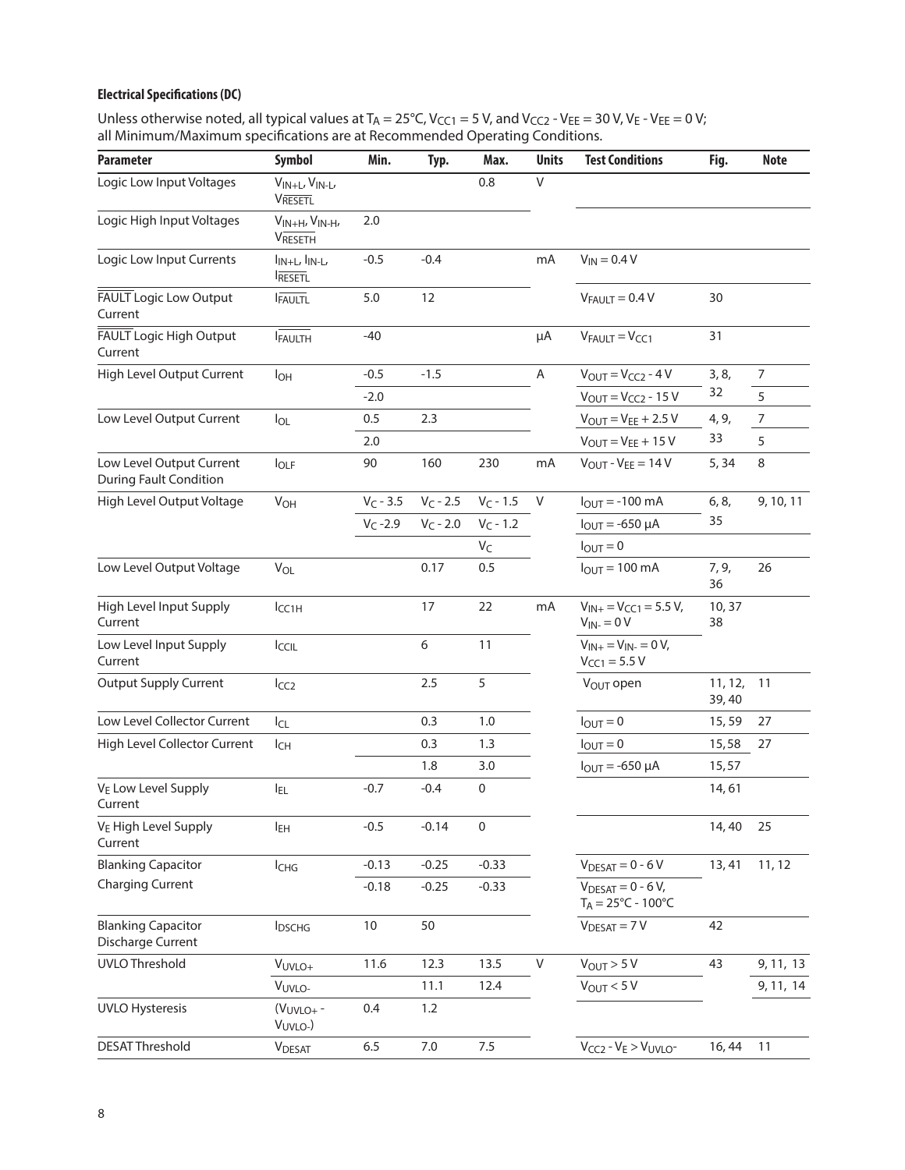#### **Electrical Specifications (DC)**

Unless otherwise noted, all typical values at  $T_A = 25^{\circ}$ C, V<sub>CC1</sub> = 5 V, and V<sub>CC2</sub> - V<sub>EE</sub> = 30 V, V<sub>E</sub> - V<sub>EE</sub> = 0 V; all Minimum/Maximum specifications are at Recommended Operating Conditions.

| <b>Parameter</b>                                          | Symbol                                      | Min.        | Typ.        | Max.        | <b>Units</b> | <b>Test Conditions</b>                                        | Fig.              | <b>Note</b>    |
|-----------------------------------------------------------|---------------------------------------------|-------------|-------------|-------------|--------------|---------------------------------------------------------------|-------------------|----------------|
| Logic Low Input Voltages                                  | $V_{IN+L}$ , $V_{IN-L}$<br><b>VRESETL</b>   |             |             | 0.8         | $\mathsf V$  |                                                               |                   |                |
| Logic High Input Voltages                                 | $V_{IN+H}$ , $V_{IN-H}$ ,<br><b>VRESETH</b> | 2.0         |             |             |              |                                                               |                   |                |
| Logic Low Input Currents                                  | $I_{IN+L}$ , $I_{IN-L}$<br><b>IRESETL</b>   | $-0.5$      | $-0.4$      |             | mA           | $V_{IN} = 0.4 V$                                              |                   |                |
| <b>FAULT</b> Logic Low Output<br>Current                  | <b>FAULTL</b>                               | $5.0$       | 12          |             |              | $V_{FAULT} = 0.4 V$                                           | 30                |                |
| <b>FAULT</b> Logic High Output<br>Current                 | <b>IFAULTH</b>                              | $-40$       |             |             | μA           | $V_{FAULT} = V_{CC1}$                                         | 31                |                |
| High Level Output Current                                 | $I_{OH}$                                    | $-0.5$      | $-1.5$      |             | Α            | $V_{OUT} = V_{CC2} - 4V$                                      | 3, 8,             | $\overline{7}$ |
|                                                           |                                             | $-2.0$      |             |             |              | $V_{OUT} = V_{CC2} - 15V$                                     | 32                | 5              |
| Low Level Output Current                                  | $I_{OL}$                                    | 0.5         | 2.3         |             |              | $V_{OUT} = V_{EE} + 2.5 V$                                    | 4, 9,             | $\overline{7}$ |
|                                                           |                                             | 2.0         |             |             |              | $V_{OUT} = V_{EE} + 15 V$                                     | 33                | 5              |
| Low Level Output Current<br><b>During Fault Condition</b> | $I_{OLF}$                                   | 90          | 160         | 230         | mA           | $V_{OUT} - V_{EE} = 14 V$                                     | 5, 34             | 8              |
| High Level Output Voltage                                 | <b>V<sub>OH</sub></b>                       | $V_C - 3.5$ | $V_C - 2.5$ | $V_C - 1.5$ | V            | $I_{OUT} = -100$ mA                                           | 6, 8,             | 9, 10, 11      |
|                                                           |                                             | $V_C - 2.9$ | $V_C - 2.0$ | $V_C - 1.2$ |              | $I_{OUT} = -650 \mu A$                                        | 35                |                |
|                                                           |                                             |             |             | $V_C$       |              | $I_{OUT} = 0$                                                 |                   |                |
| Low Level Output Voltage                                  | <b>V<sub>OL</sub></b>                       |             | 0.17        | 0.5         |              | $I_{OUT} = 100 \text{ mA}$                                    | 7, 9,<br>36       | 26             |
| High Level Input Supply<br>Current                        | I <sub>CC1H</sub>                           |             | 17          | 22          | mA           | $V_{IN+} = V_{CC1} = 5.5 V,$<br>$V_{IN} = 0 V$                | 10, 37<br>38      |                |
| Low Level Input Supply<br>Current                         | ICCIL                                       |             | 6           | 11          |              | $V_{IN+} = V_{IN-} = 0 V,$<br>$V_{CC1} = 5.5 V$               |                   |                |
| <b>Output Supply Current</b>                              | $I_{CC2}$                                   |             | 2.5         | 5           |              | $V_{\text{OUT}}$ open                                         | 11, 12,<br>39, 40 | 11             |
| Low Level Collector Current                               | $I_{CL}$                                    |             | 0.3         | 1.0         |              | $I_{OUT} = 0$                                                 | 15, 59            | 27             |
| High Level Collector Current                              | ICH                                         |             | 0.3         | 1.3         |              | $I_{OUT} = 0$                                                 | 15,58             | 27             |
|                                                           |                                             |             | 1.8         | 3.0         |              | $I_{OUT} = -650 \mu A$                                        | 15,57             |                |
| V <sub>E</sub> Low Level Supply<br>Current                | <b>IEL</b>                                  | $-0.7$      | $-0.4$      | $\pmb{0}$   |              |                                                               | 14,61             |                |
| V <sub>E</sub> High Level Supply<br>Current               | <b>I<sub>EH</sub></b>                       | $-0.5$      | $-0.14$     | $\mathbf 0$ |              |                                                               | 14,40             | 25             |
| <b>Blanking Capacitor</b>                                 | ICHG                                        | $-0.13$     | $-0.25$     | $-0.33$     |              | $V_{DESAT} = 0 - 6V$                                          | 13, 41            | 11, 12         |
| <b>Charging Current</b>                                   |                                             | $-0.18$     | $-0.25$     | $-0.33$     |              | $V_{DESAT} = 0 - 6 V$ ,<br>$T_A = 25^{\circ}C - 100^{\circ}C$ |                   |                |
| <b>Blanking Capacitor</b><br>Discharge Current            | <b>IDSCHG</b>                               | $10$        | 50          |             |              | $V_{DESAT} = 7 V$                                             | 42                |                |
| UVLO Threshold                                            | V <sub>UVLO+</sub>                          | 11.6        | 12.3        | 13.5        | $\mathsf{V}$ | $V_{OUT}$ > 5 V                                               | 43                | 9, 11, 13      |
|                                                           | VUVLO-                                      |             | 11.1        | 12.4        |              | $V_{OUT} < 5 V$                                               |                   | 9, 11, 14      |
| <b>UVLO Hysteresis</b>                                    | $(V_{UVLO+}$ -<br>$VUVLO-$                  | 0.4         | 1.2         |             |              |                                                               |                   |                |
| <b>DESAT Threshold</b>                                    | <b>V</b> DESAT                              | $6.5\,$     | $7.0\,$     | 7.5         |              | $V_{CC2} - V_E > V_{UVLO}$                                    | 16, 44            | 11             |
|                                                           |                                             |             |             |             |              |                                                               |                   |                |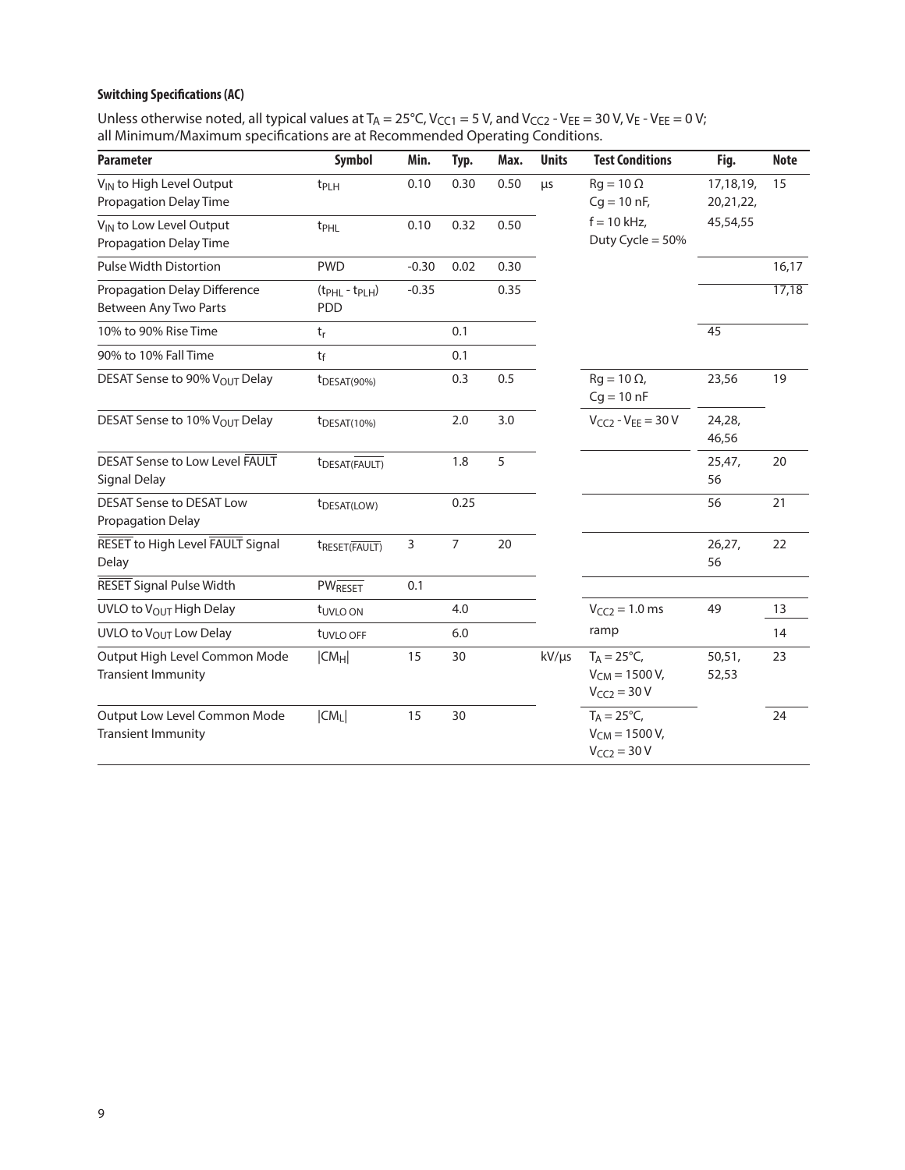#### **Switching Specifications (AC)**

Unless otherwise noted, all typical values at  $T_A = 25^{\circ}$ C, V<sub>CC1</sub> = 5 V, and V<sub>CC2</sub> - V<sub>EE</sub> = 30 V, V<sub>E</sub> - V<sub>EE</sub> = 0 V; all Minimum/Maximum specifications are at Recommended Operating Conditions.

| <b>Parameter</b>                                               | Symbol                     | Min.           | Typ.           | Max. | <b>Units</b> | <b>Test Conditions</b>                                          | Fig.                   | <b>Note</b> |
|----------------------------------------------------------------|----------------------------|----------------|----------------|------|--------------|-----------------------------------------------------------------|------------------------|-------------|
| V <sub>IN</sub> to High Level Output<br>Propagation Delay Time | t <sub>PLH</sub>           | 0.10           | 0.30           | 0.50 | μs           | $Rg = 10 \Omega$<br>$Cg = 10$ nF,                               | 17,18,19,<br>20,21,22, | 15          |
| V <sub>IN</sub> to Low Level Output<br>Propagation Delay Time  | t <sub>PHL</sub>           | 0.10           | 0.32           | 0.50 |              | $f = 10$ kHz,<br>Duty Cycle = 50%                               | 45,54,55               |             |
| Pulse Width Distortion                                         | <b>PWD</b>                 | $-0.30$        | 0.02           | 0.30 |              |                                                                 |                        | 16,17       |
| <b>Propagation Delay Difference</b><br>Between Any Two Parts   | $(tPHL - tPLH)$<br>PDD     | $-0.35$        |                | 0.35 |              |                                                                 |                        | 17,18       |
| 10% to 90% Rise Time                                           | $t_{r}$                    |                | 0.1            |      |              |                                                                 | 45                     |             |
| 90% to 10% Fall Time                                           | $t_f$                      |                | 0.1            |      |              |                                                                 |                        |             |
| DESAT Sense to 90% VOUT Delay                                  | $t_{DESAT(90\%)}$          |                | 0.3            | 0.5  |              | $Rq = 10 \Omega$ ,<br>$Cg = 10$ nF                              | 23,56                  | 19          |
| DESAT Sense to 10% VOUT Delay                                  | $t$ DESAT $(10%)$          |                | 2.0            | 3.0  |              | $V_{CC2} - V_{EE} = 30 V$                                       | 24,28,<br>46,56        |             |
| <b>DESAT Sense to Low Level FAULT</b><br><b>Signal Delay</b>   | t <sub>DESAT</sub> (FAULT) |                | 1.8            | 5    |              |                                                                 | 25,47,<br>56           | 20          |
| <b>DESAT Sense to DESAT Low</b><br>Propagation Delay           | t <sub>DESAT(LOW)</sub>    |                | 0.25           |      |              |                                                                 | 56                     | 21          |
| RESET to High Level FAULT Signal<br>Delay                      | tRESET(FAULT)              | $\overline{3}$ | $\overline{7}$ | 20   |              |                                                                 | 26,27,<br>56           | 22          |
| <b>RESET</b> Signal Pulse Width                                | <b>PWRESET</b>             | 0.1            |                |      |              |                                                                 |                        |             |
| UVLO to V <sub>OUT</sub> High Delay                            | t <sub>UVLO</sub> ON       |                | 4.0            |      |              | $V_{CC2} = 1.0$ ms                                              | 49                     | 13          |
| UVLO to VOUT Low Delay                                         | tuvlo OFF                  |                | 6.0            |      |              | ramp                                                            |                        | 14          |
| Output High Level Common Mode<br><b>Transient Immunity</b>     | $ CM_H $                   | 15             | 30             |      | kV/µs        | $T_A = 25^{\circ}C$ ,<br>$V_{CM}$ = 1500 V,<br>$V_{CC2}$ = 30 V | 50,51,<br>52,53        | 23          |
| Output Low Level Common Mode<br><b>Transient Immunity</b>      | $ CM_L $                   | 15             | 30             |      |              | $T_A = 25^{\circ}C$<br>$V_{CM} = 1500 V,$<br>$V_{CC2} = 30 V$   |                        | 24          |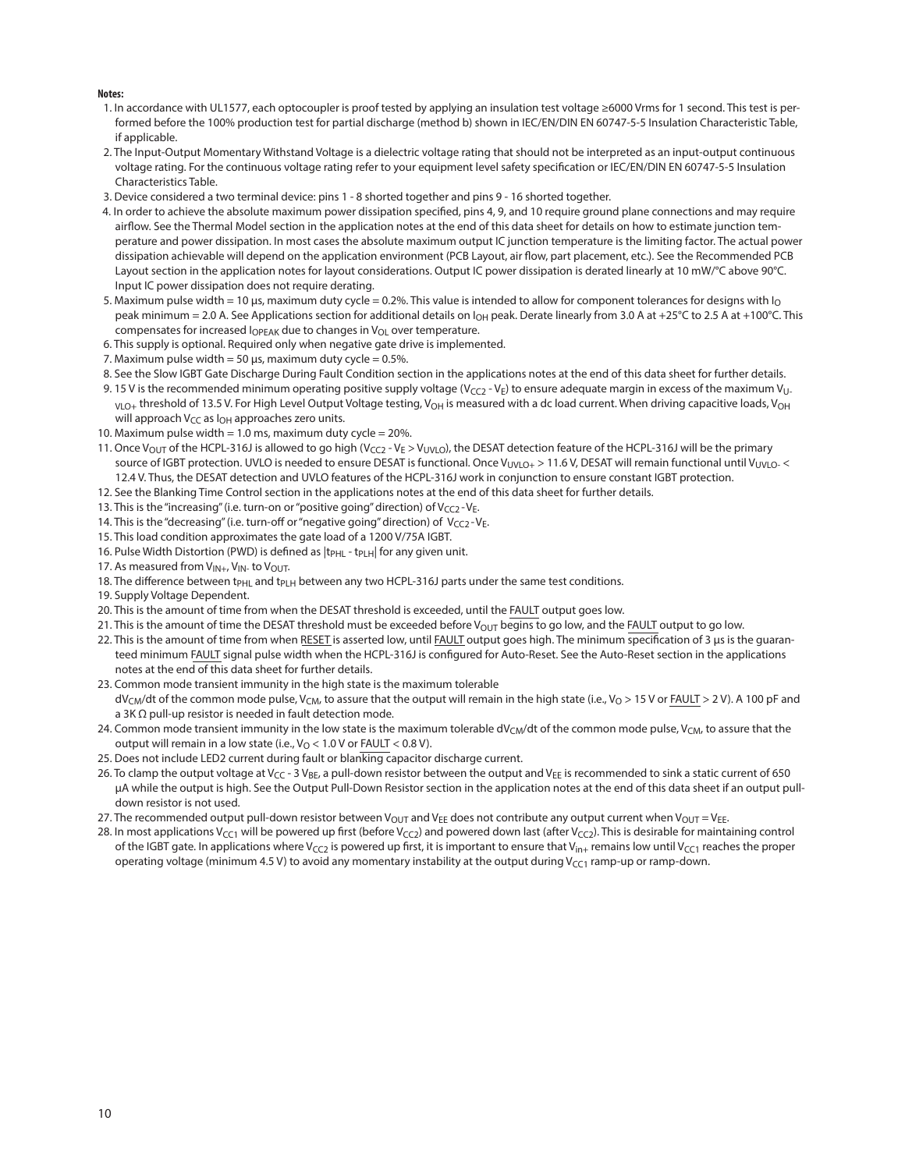#### **Notes:**

- 1. In accordance with UL1577, each optocoupler is proof tested by applying an insulation test voltage ≥6000 Vrms for 1 second. This test is performed before the 100% production test for partial discharge (method b) shown in IEC/EN/DIN EN 60747-5-5 Insulation Characteristic Table, if applicable.
- 2. The Input-Output Momentary Withstand Voltage is a dielectric voltage rating that should not be interpreted as an input-output continuous voltage rating. For the continuous voltage rating refer to your equipment level safety specification or IEC/EN/DIN EN 60747-5-5 Insulation Characteristics Table.
- 3. Device considered a two terminal device: pins 1 8 shorted together and pins 9 16 shorted together.
- 4. In order to achieve the absolute maximum power dissipation specified, pins 4, 9, and 10 require ground plane connections and may require airflow. See the Thermal Model section in the application notes at the end of this data sheet for details on how to estimate junction temperature and power dissipation. In most cases the absolute maximum output IC junction temperature is the limiting factor. The actual power dissipation achievable will depend on the application environment (PCB Layout, air flow, part placement, etc.). See the Recommended PCB Layout section in the application notes for layout considerations. Output IC power dissipation is derated linearly at 10 mW/°C above 90°C. Input IC power dissipation does not require derating.
- 5. Maximum pulse width = 10 µs, maximum duty cycle = 0.2%. This value is intended to allow for component tolerances for designs with  $\vert_0$ peak minimum = 2.0 A. See Applications section for additional details on I<sub>OH</sub> peak. Derate linearly from 3.0 A at +25°C to 2.5 A at +100°C. This compensates for increased  $I_{OPEAK}$  due to changes in  $V_{OL}$  over temperature.
- 6. This supply is optional. Required only when negative gate drive is implemented.
- 7. Maximum pulse width = 50  $\mu$ s, maximum duty cycle = 0.5%.
- 8. See the Slow IGBT Gate Discharge During Fault Condition section in the applications notes at the end of this data sheet for further details.
- 9. 15 V is the recommended minimum operating positive supply voltage (V<sub>CC2</sub> V<sub>E</sub>) to ensure adequate margin in excess of the maximum V<sub>U</sub>. VLO+ threshold of 13.5 V. For High Level Output Voltage testing, V<sub>OH</sub> is measured with a dc load current. When driving capacitive loads, V<sub>OH</sub> will approach V<sub>CC</sub> as  $I_{OH}$  approaches zero units.
- 10. Maximum pulse width  $= 1.0$  ms, maximum duty cycle  $= 20$ %.
- 11. Once V<sub>OUT</sub> of the HCPL-316J is allowed to go high (V<sub>CC2</sub> V<sub>E</sub> > V<sub>UVLO</sub>), the DESAT detection feature of the HCPL-316J will be the primary source of IGBT protection. UVLO is needed to ensure DESAT is functional. Once V<sub>UVLO+</sub> > 11.6 V, DESAT will remain functional until V<sub>UVLO-</sub> < 12.4 V. Thus, the DESAT detection and UVLO features of the HCPL-316J work in conjunction to ensure constant IGBT protection.
- 12. See the Blanking Time Control section in the applications notes at the end of this data sheet for further details.
- 13. This is the "increasing" (i.e. turn-on or "positive going" direction) of  $V_{CC2}$ -V<sub>E</sub>.
- 14. This is the "decreasing" (i.e. turn-off or "negative going" direction) of  $V_{CC2}$ - $V_F$ .
- 15. This load condition approximates the gate load of a 1200 V/75A IGBT.
- 16. Pulse Width Distortion (PWD) is defined as |t<sub>PHL</sub> t<sub>PLH</sub>| for any given unit.
- 17. As measured from  $V_{IN+}$ ,  $V_{IN}$  to  $V_{OUT}$ .
- 18. The difference between t<sub>PHL</sub> and t<sub>PLH</sub> between any two HCPL-316J parts under the same test conditions.
- 19. Supply Voltage Dependent.
- 20. This is the amount of time from when the DESAT threshold is exceeded, until the FAULT output goes low.
- 21. This is the amount of time the DESAT threshold must be exceeded before V<sub>OUT</sub> begins to go low, and the FAULT output to go low.
- 22. This is the amount of time from when RESET is asserted low, until FAULT output goes high. The minimum specification of 3 µs is the guaranteed minimum FAULT signal pulse width when the HCPL-316J is configured for Auto-Reset. See the Auto-Reset section in the applications notes at the end of this data sheet for further details.
- 23. Common mode transient immunity in the high state is the maximum tolerable
- $dV_{CM}/dt$  of the common mode pulse,  $V_{CM}$ , to assure that the output will remain in the high state (i.e.,  $V_O$  > 15 V or FAULT > 2 V). A 100 pF and a 3K Ω pull-up resistor is needed in fault detection mode.
- 24. Common mode transient immunity in the low state is the maximum tolerable  $dV_{CM}/dt$  of the common mode pulse,  $V_{CM}$ , to assure that the output will remain in a low state (i.e.,  $V<sub>O</sub> < 1.0 V$  or FAULT < 0.8 V).
- 25. Does not include LED2 current during fault or blanking capacitor discharge current.
- 26. To clamp the output voltage at V<sub>CC</sub> 3 V<sub>BE</sub>, a pull-down resistor between the output and V<sub>EE</sub> is recommended to sink a static current of 650 µA while the output is high. See the Output Pull-Down Resistor section in the application notes at the end of this data sheet if an output pulldown resistor is not used.
- 27. The recommended output pull-down resistor between V<sub>OUT</sub> and V<sub>EE</sub> does not contribute any output current when V<sub>OUT</sub> = V<sub>EE</sub>.
- 28. In most applications V<sub>CC1</sub> will be powered up first (before V<sub>CC2</sub>) and powered down last (after V<sub>CC2</sub>). This is desirable for maintaining control of the IGBT gate. In applications where V<sub>CC2</sub> is powered up first, it is important to ensure that V<sub>in+</sub> remains low until V<sub>CC1</sub> reaches the proper operating voltage (minimum 4.5 V) to avoid any momentary instability at the output during V<sub>CC1</sub> ramp-up or ramp-down.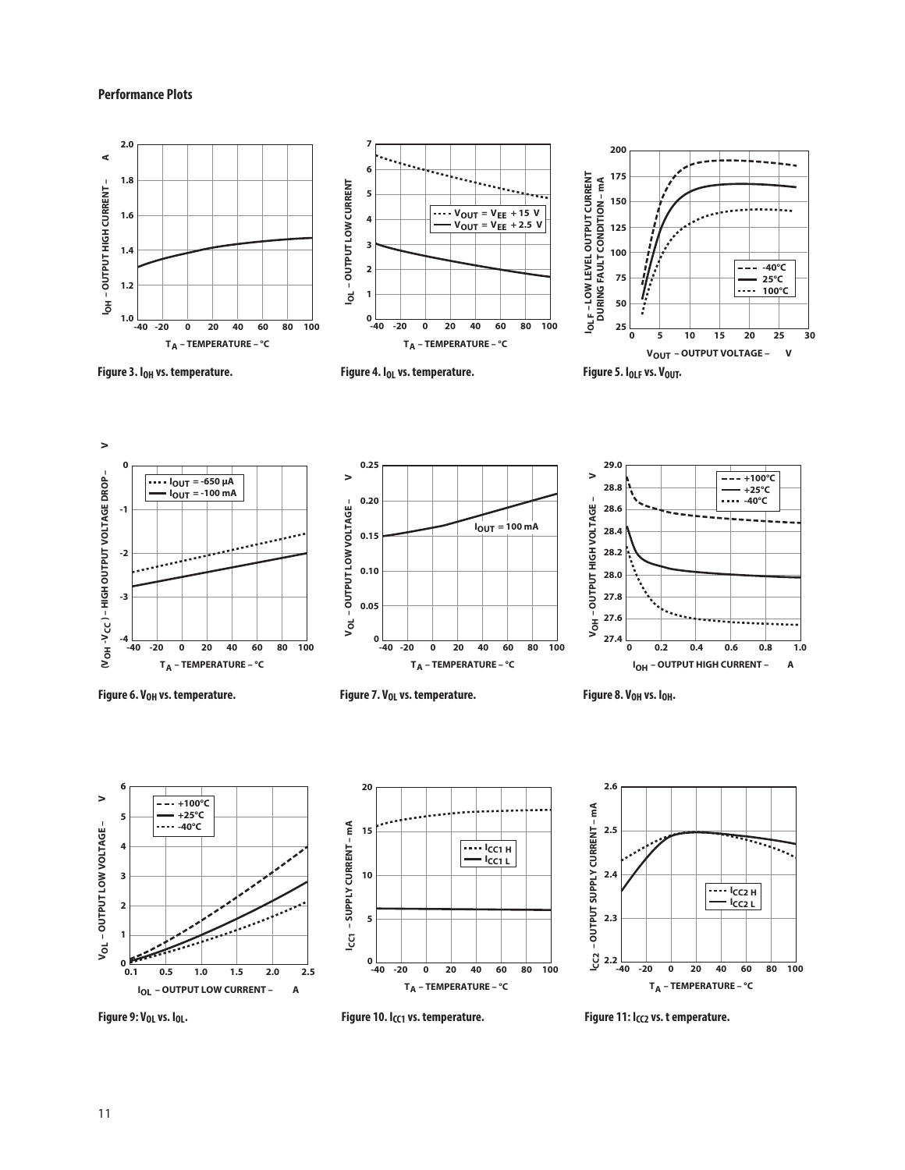#### **Performance Plots**



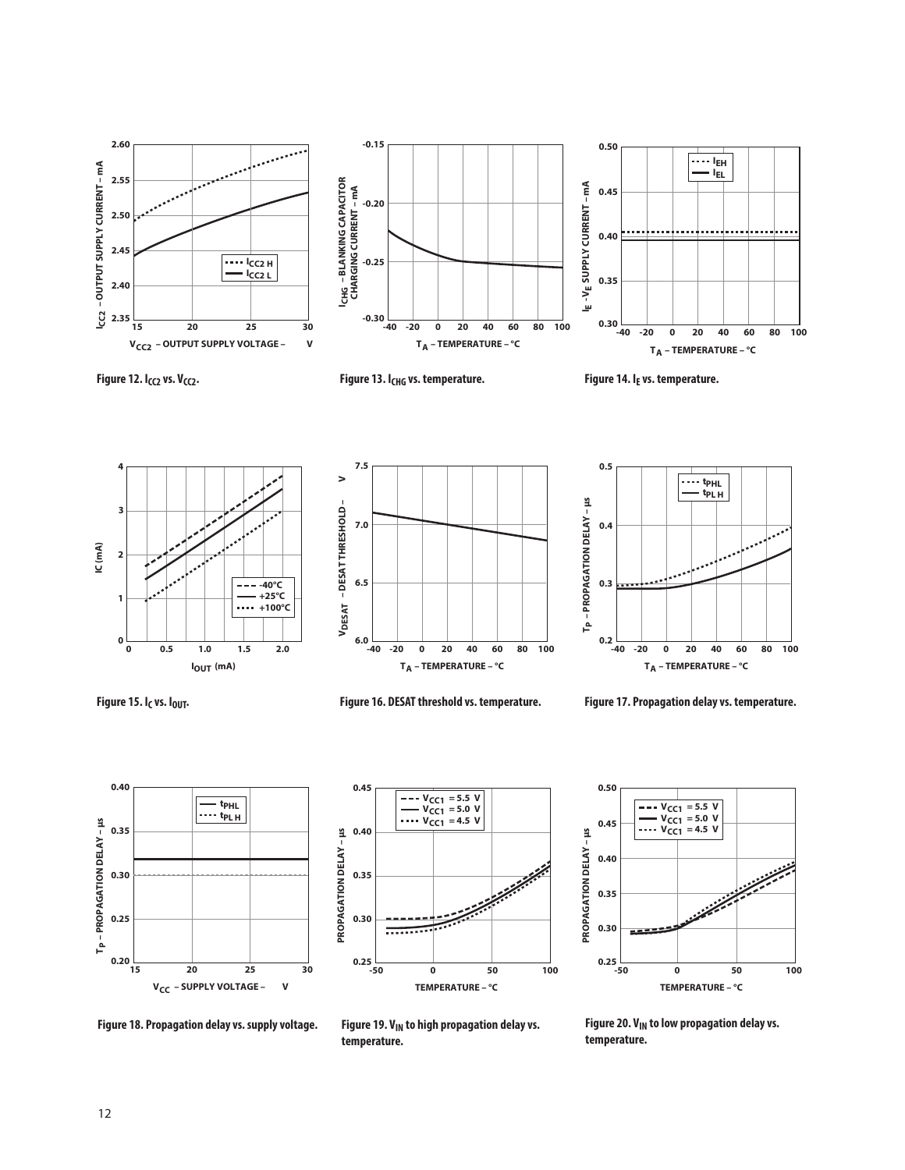



Figure 12. I<sub>CC2</sub> vs. V<sub>CC2</sub>. The section of the sequence of the Figure 13. I<sub>CHG</sub> vs. temperature. **Figure 14.** I<sub>E</sub> vs. temperature.







**Figure 15. IC vs. IOUT. Figure 16. DESAT threshold vs. temperature. Figure 17. Propagation delay vs. temperature.**

**0.45**



PROPAGATION DELAY - µs **0.40 PROPAGATION DELAY – µs 0.35 0.30 0.25 -50 0 50 100 TEMPERATURE – °C**

**VCC1 = 5.5 V VCC1 = 5.0 V VCC1 = 4.5 V**





Figure 20. V<sub>IN</sub> to low propagation delay vs. **temperature.**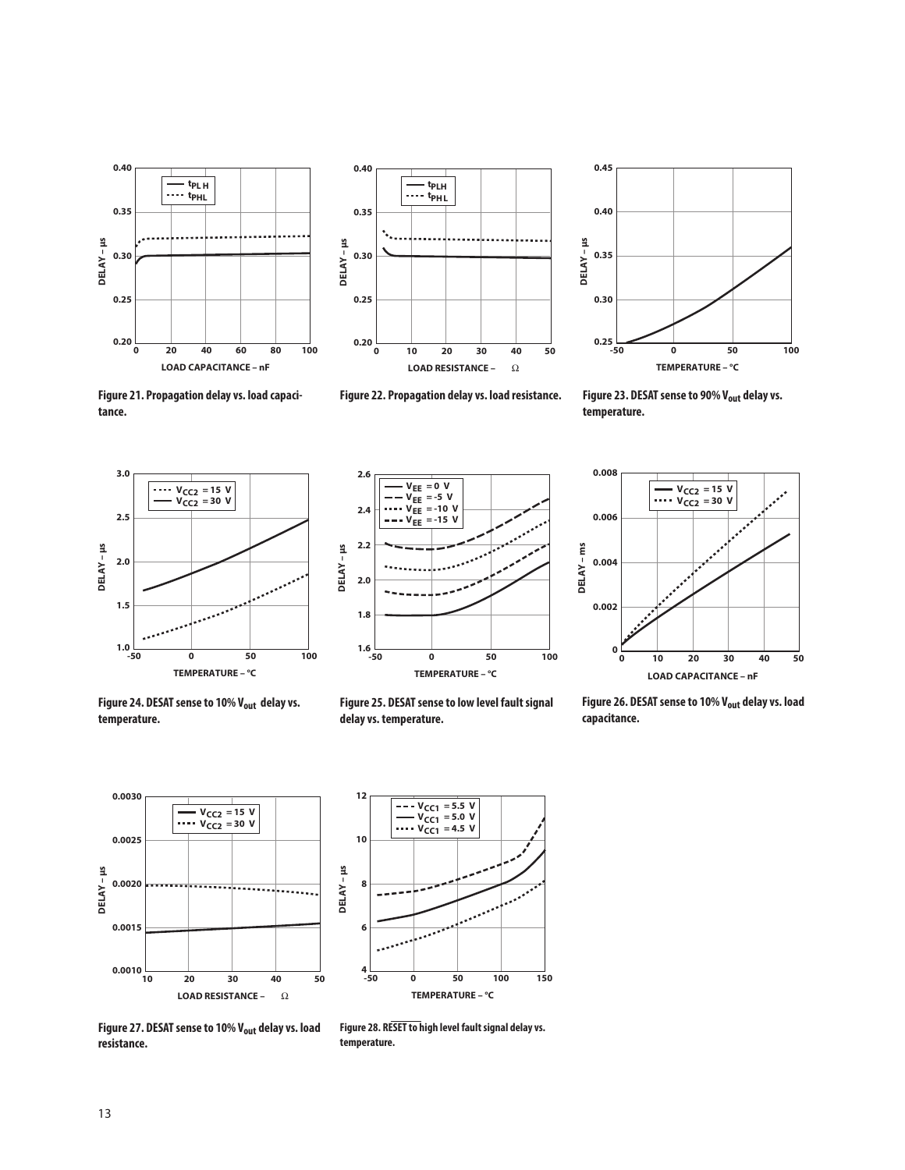





**Figure 21. Propagation delay vs. load capacitance.**



**temperature.**





Figure 24. DESAT sense to 10% V<sub>out</sub> delay vs. **temperature.**

**Figure 25. DESAT sense to low level fault signal delay vs. temperature.**



Figure 26. DESAT sense to 10% V<sub>out</sub> delay vs. load **capacitance.**





Figure 27. DESAT sense to 10% V<sub>out</sub> delay vs. load **resistance.**

**Figure 28. RESET to high level fault signal delay vs. temperature.**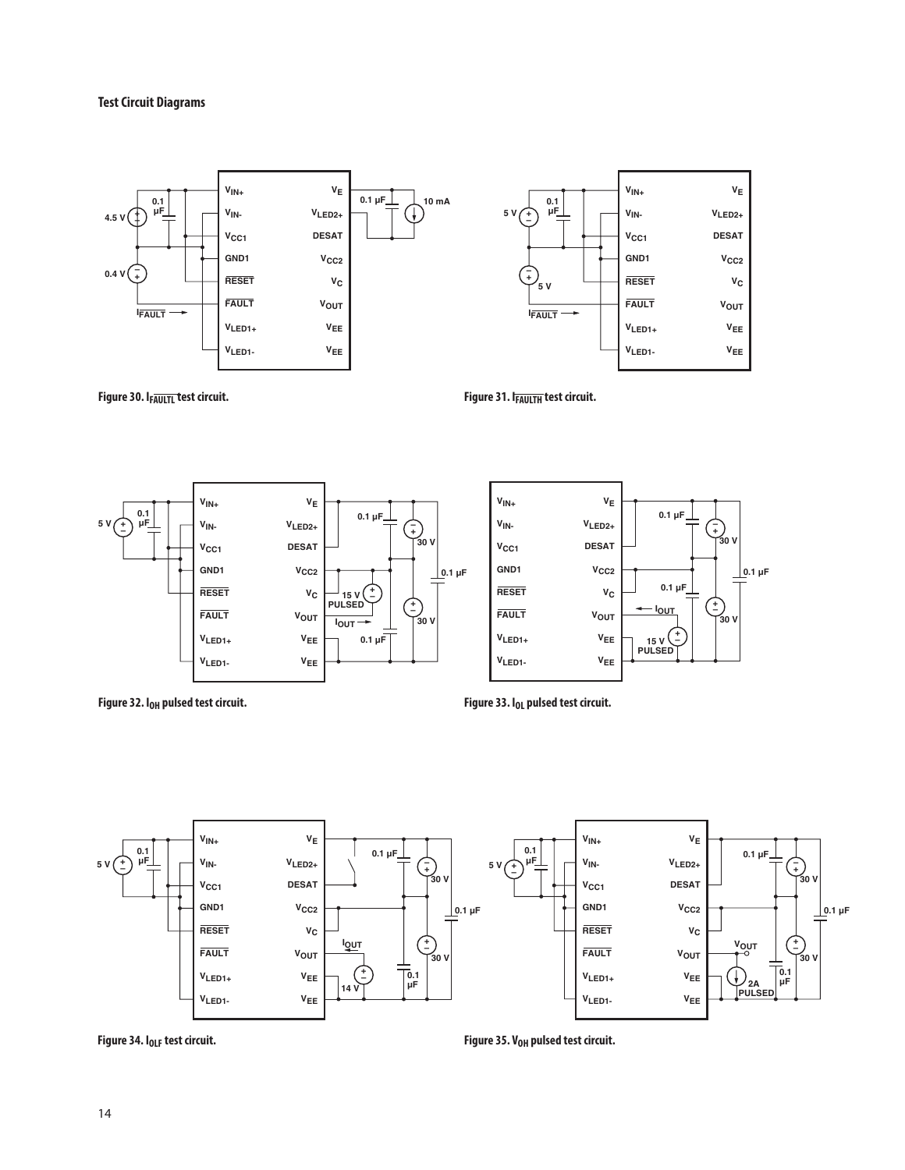#### **Test Circuit Diagrams**









**Figure 32. I<sub>OH</sub> pulsed test circuit. Figure 33. I<sub>OL</sub> pulsed test circuit.** 



Figure 34. I<sub>OLF</sub> test circuit. *Figure 35. V<sub>OH</sub> pulsed test circuit.*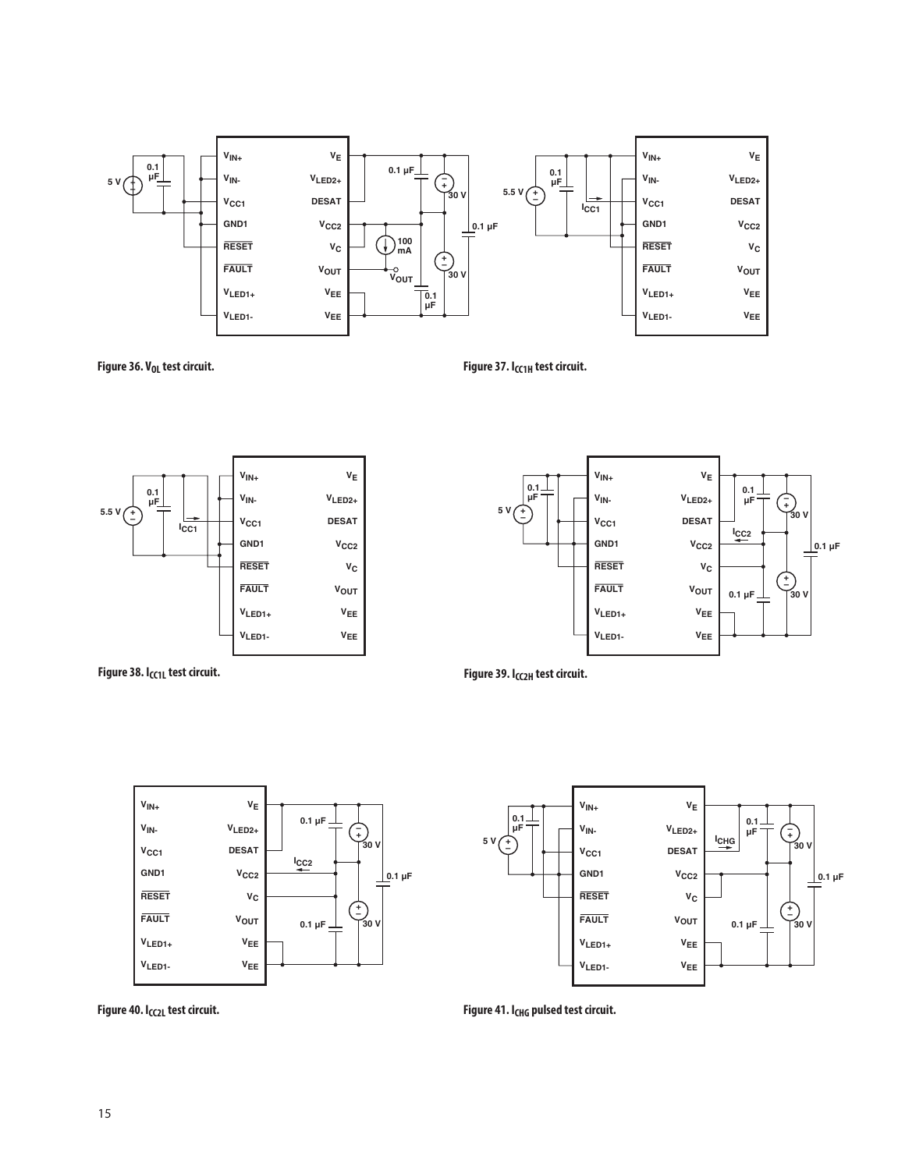

Figure 36. V<sub>OL</sub> test circuit. **Figure 37.** I<sub>CC1H</sub> test circuit.





Figure 38. I<sub>CC1L</sub> test circuit. **Figure 39.** I<sub>CC2H</sub> test circuit.



**0.1 µF 0.1 µF VE VLED2+ DESAT VCC2 VC V<sub>OUT</sub> VEE VEE VIN+ VIN** $v_{cc1}$ **GND1 RESET FAULT VLED1+ VLED1- + – + – 30 V 30 V ICHG 0.1 µF + – 5 V 0.1 µF**

Figure 40. I<sub>CC2L</sub> test circuit. **All and Secure 20. ICHC pulsed test circuit.**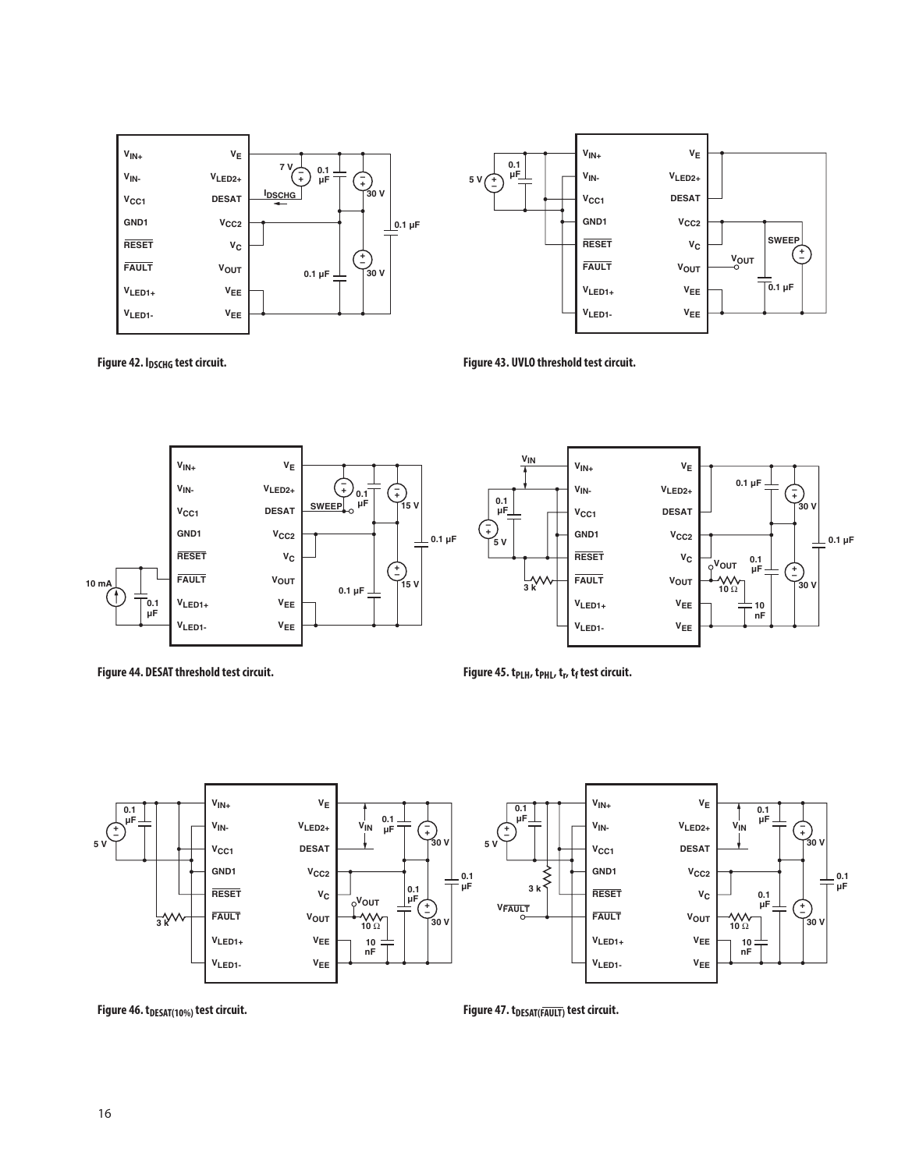



Figure 42. I<sub>DSCHG</sub> test circuit. **Figure 43. UVLO threshold test circuit.** 



Figure 44. DESAT threshold test circuit. **Figure 45. t<sub>PLH</sub>, t<sub>PHL</sub>, t<sub>r</sub>, t<sub>f</sub> test circuit.** 



Figure 46. t<sub>DESAT(10%)</sub> test circuit. **Figure 47. t**<sub>DESAT(FAULT)</sub> test circuit.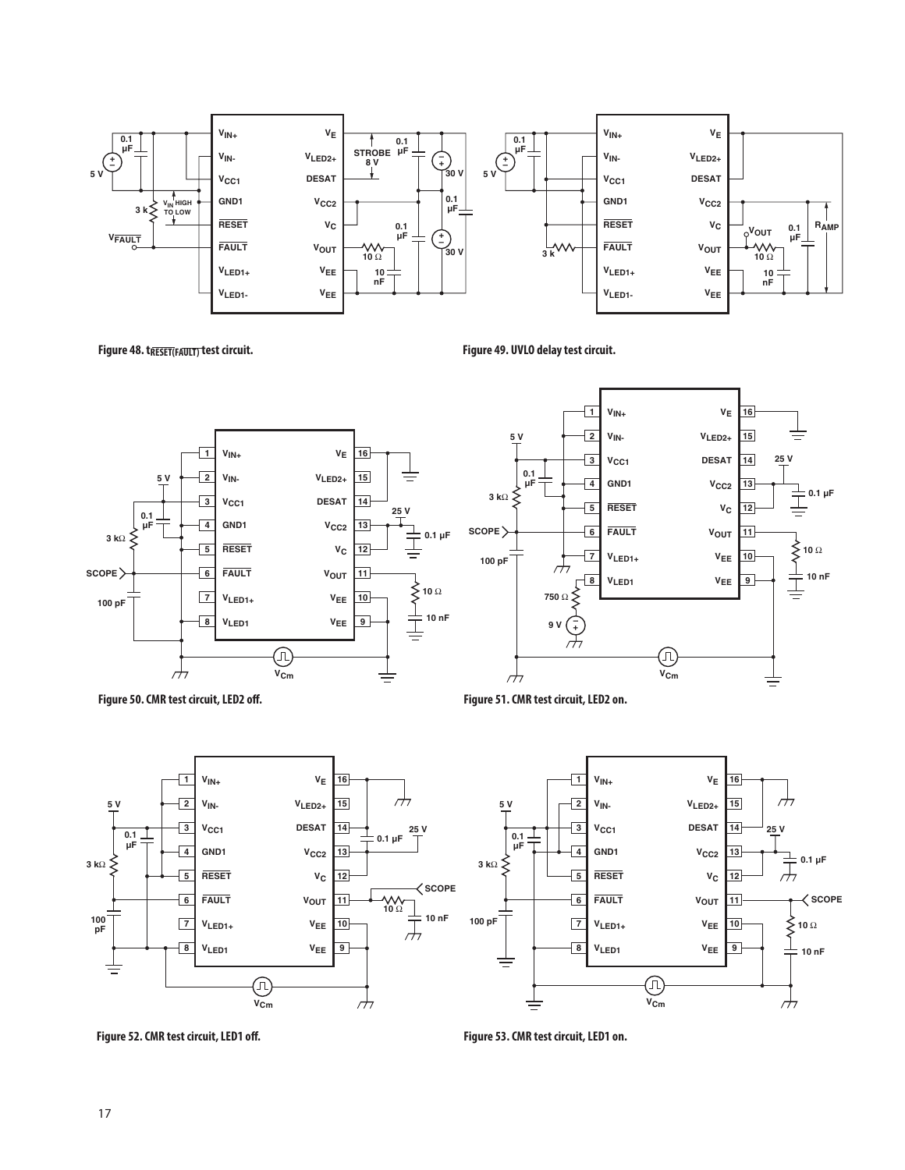

Figure 48. tRESET(FAULT) test circuit.

**Figure 49. UVLO delay test circuit.**





**Figure 50. CMR test circuit, LED2 off. Figure 51. CMR test circuit, LED2 on.**



**Figure 52. CMR test circuit, LED1 off. Figure 53. CMR test circuit, LED1 on.**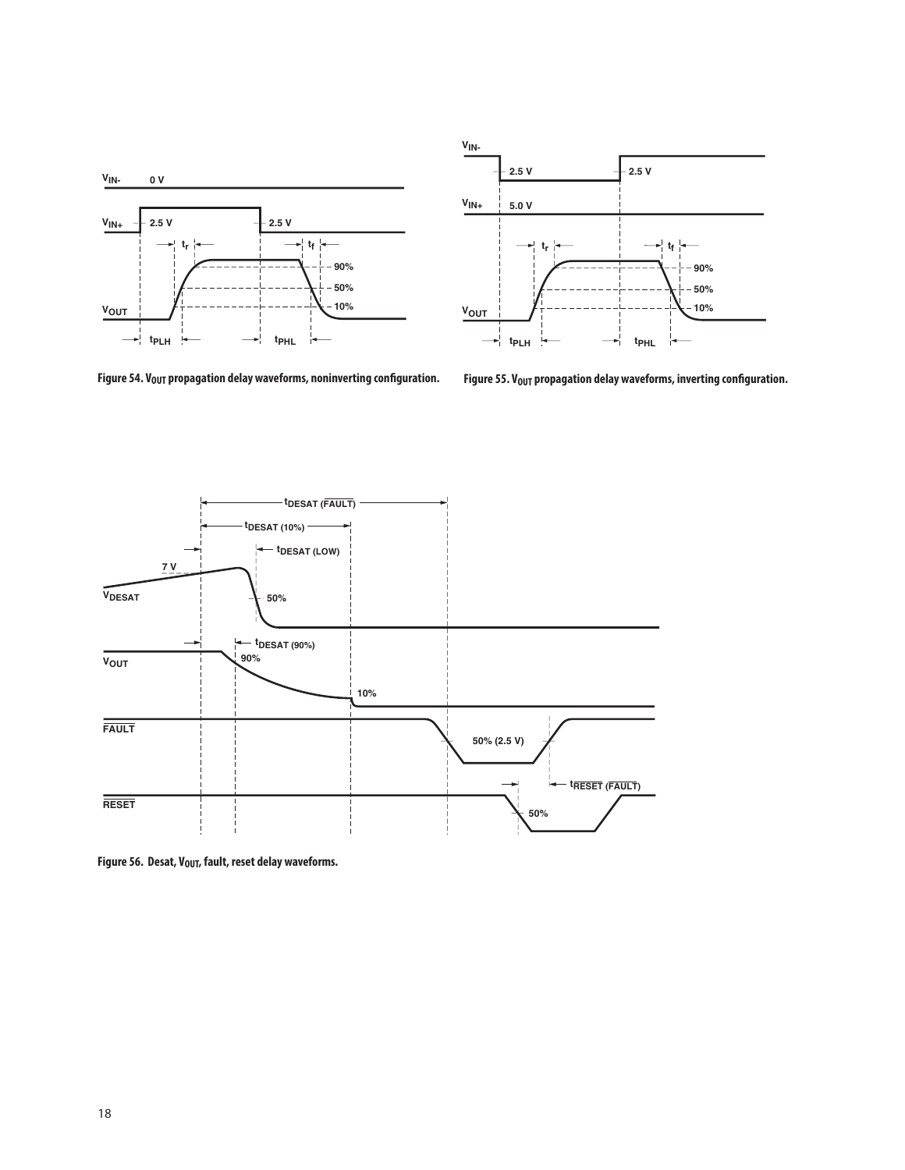



Figure 54. V<sub>OUT</sub> propagation delay waveforms, noninverting configuration. Figure 55. V<sub>OUT</sub> propagation delay waveforms, inverting configuration.



Figure 56. Desat, V<sub>OUT</sub>, fault, reset delay waveforms.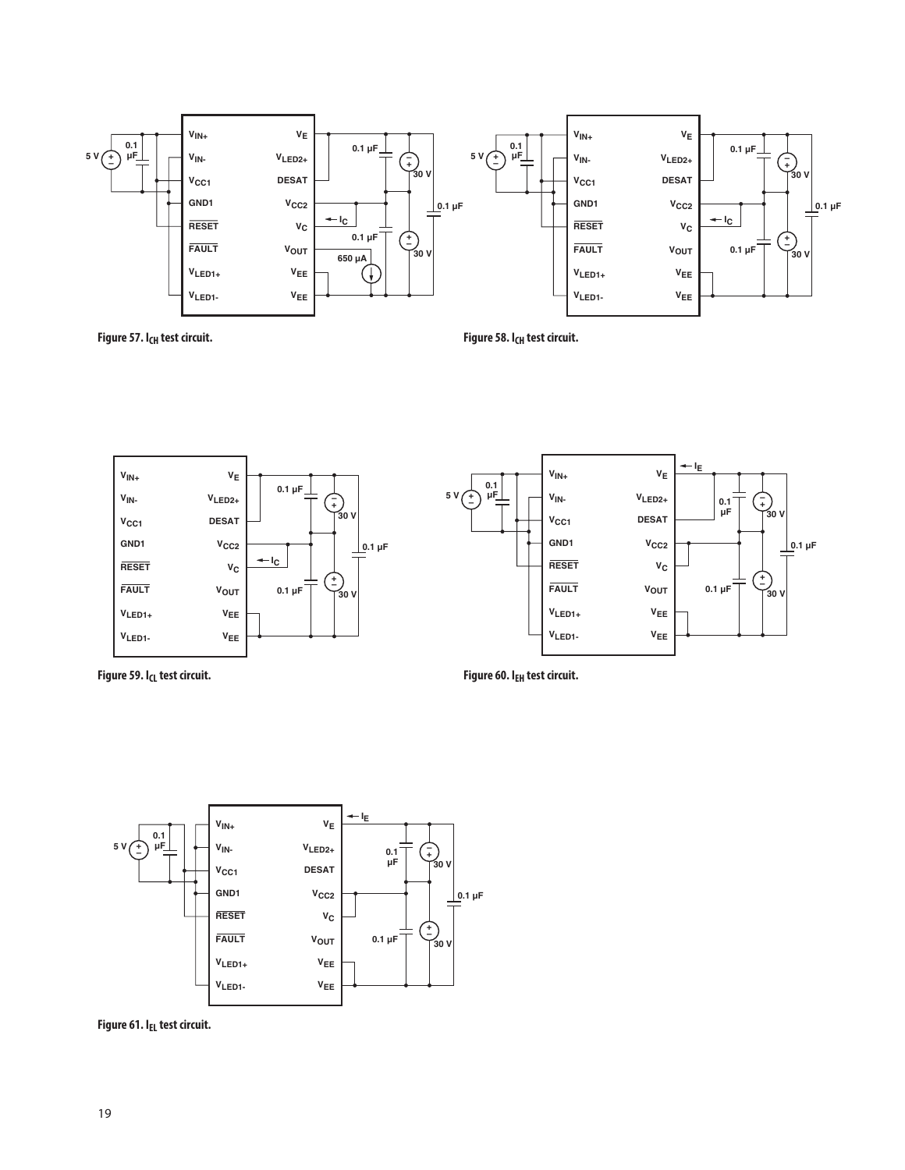

Figure 57. I<sub>CH</sub> test circuit. **Figure 58.** I<sub>CH</sub> test circuit.



**Figure 59.** I<sub>CL</sub> test circuit. **Figure 60.** I<sub>EH</sub> test circuit.



Figure 61. I<sub>EL</sub> test circuit.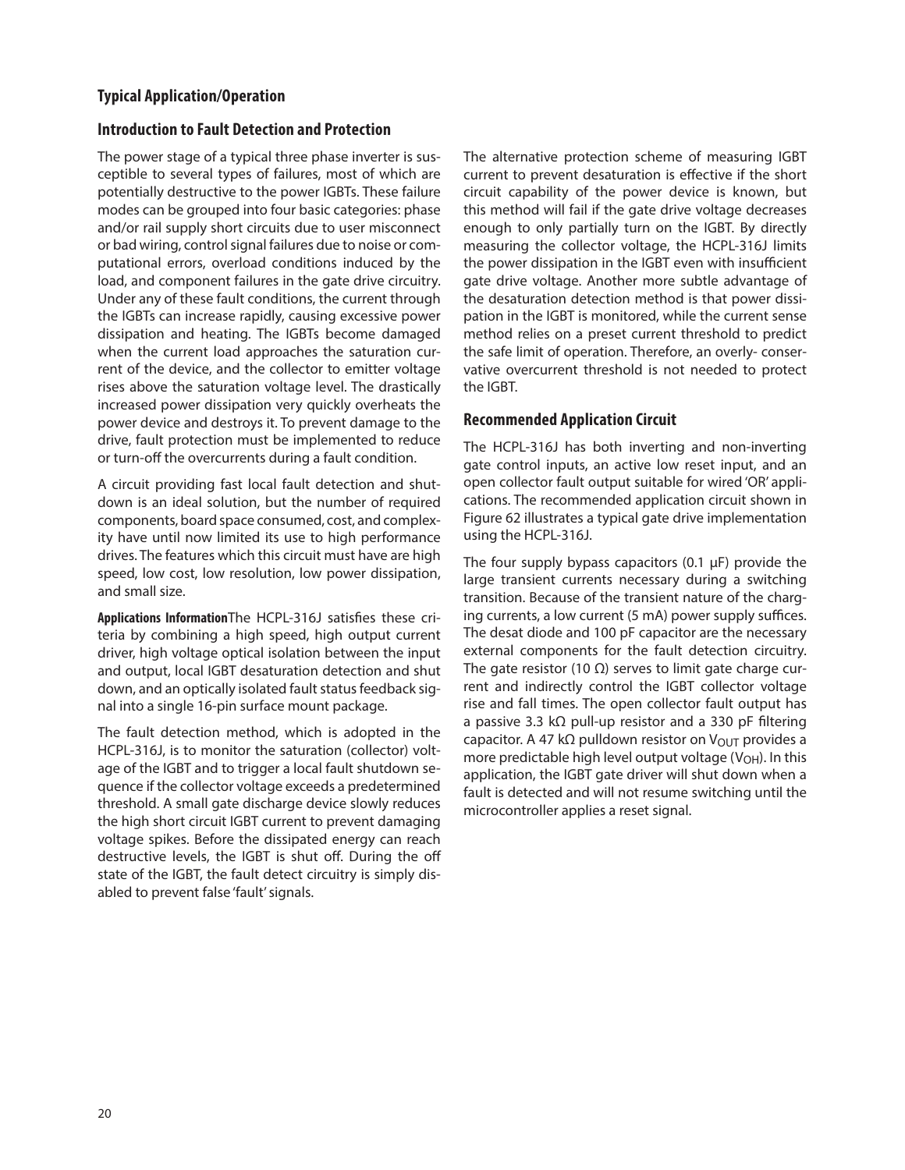## **Typical Application/Operation**

#### **Introduction to Fault Detection and Protection**

The power stage of a typical three phase inverter is susceptible to several types of failures, most of which are potentially destructive to the power IGBTs. These failure modes can be grouped into four basic categories: phase and/or rail supply short circuits due to user misconnect or bad wiring, control signal failures due to noise or computational errors, overload conditions induced by the load, and component failures in the gate drive circuitry. Under any of these fault conditions, the current through the IGBTs can increase rapidly, causing excessive power dissipation and heating. The IGBTs become damaged when the current load approaches the saturation current of the device, and the collector to emitter voltage rises above the saturation voltage level. The drastically increased power dissipation very quickly overheats the power device and destroys it. To prevent damage to the drive, fault protection must be implemented to reduce or turn-off the overcurrents during a fault condition.

A circuit providing fast local fault detection and shutdown is an ideal solution, but the number of required components, board space consumed, cost, and complexity have until now limited its use to high performance drives. The features which this circuit must have are high speed, low cost, low resolution, low power dissipation, and small size.

**Applications Information**The HCPL-316J satisfies these criteria by combining a high speed, high output current driver, high voltage optical isolation between the input and output, local IGBT desaturation detection and shut down, and an optically isolated fault status feedback signal into a single 16-pin surface mount package.

The fault detection method, which is adopted in the HCPL-316J, is to monitor the saturation (collector) voltage of the IGBT and to trigger a local fault shutdown sequence if the collector voltage exceeds a predetermined threshold. A small gate discharge device slowly reduces the high short circuit IGBT current to prevent damaging voltage spikes. Before the dissipated energy can reach destructive levels, the IGBT is shut off. During the off state of the IGBT, the fault detect circuitry is simply disabled to prevent false 'fault' signals.

The alternative protection scheme of measuring IGBT current to prevent desaturation is effective if the short circuit capability of the power device is known, but this method will fail if the gate drive voltage decreases enough to only partially turn on the IGBT. By directly measuring the collector voltage, the HCPL-316J limits the power dissipation in the IGBT even with insufficient gate drive voltage. Another more subtle advantage of the desaturation detection method is that power dissipation in the IGBT is monitored, while the current sense method relies on a preset current threshold to predict the safe limit of operation. Therefore, an overly- conservative overcurrent threshold is not needed to protect the IGBT.

## **Recommended Application Circuit**

The HCPL-316J has both inverting and non-inverting gate control inputs, an active low reset input, and an open collector fault output suitable for wired 'OR' applications. The recommended application circuit shown in Figure 62 illustrates a typical gate drive implementation using the HCPL-316J.

The four supply bypass capacitors  $(0.1 \mu)$  provide the large transient currents necessary during a switching transition. Because of the transient nature of the charging currents, a low current (5 mA) power supply suffices. The desat diode and 100 pF capacitor are the necessary external components for the fault detection circuitry. The gate resistor (10  $\Omega$ ) serves to limit gate charge current and indirectly control the IGBT collector voltage rise and fall times. The open collector fault output has a passive 3.3 kΩ pull-up resistor and a 330 pF filtering capacitor. A 47 kΩ pulldown resistor on V<sub>OUT</sub> provides a more predictable high level output voltage (V<sub>OH</sub>). In this application, the IGBT gate driver will shut down when a fault is detected and will not resume switching until the microcontroller applies a reset signal.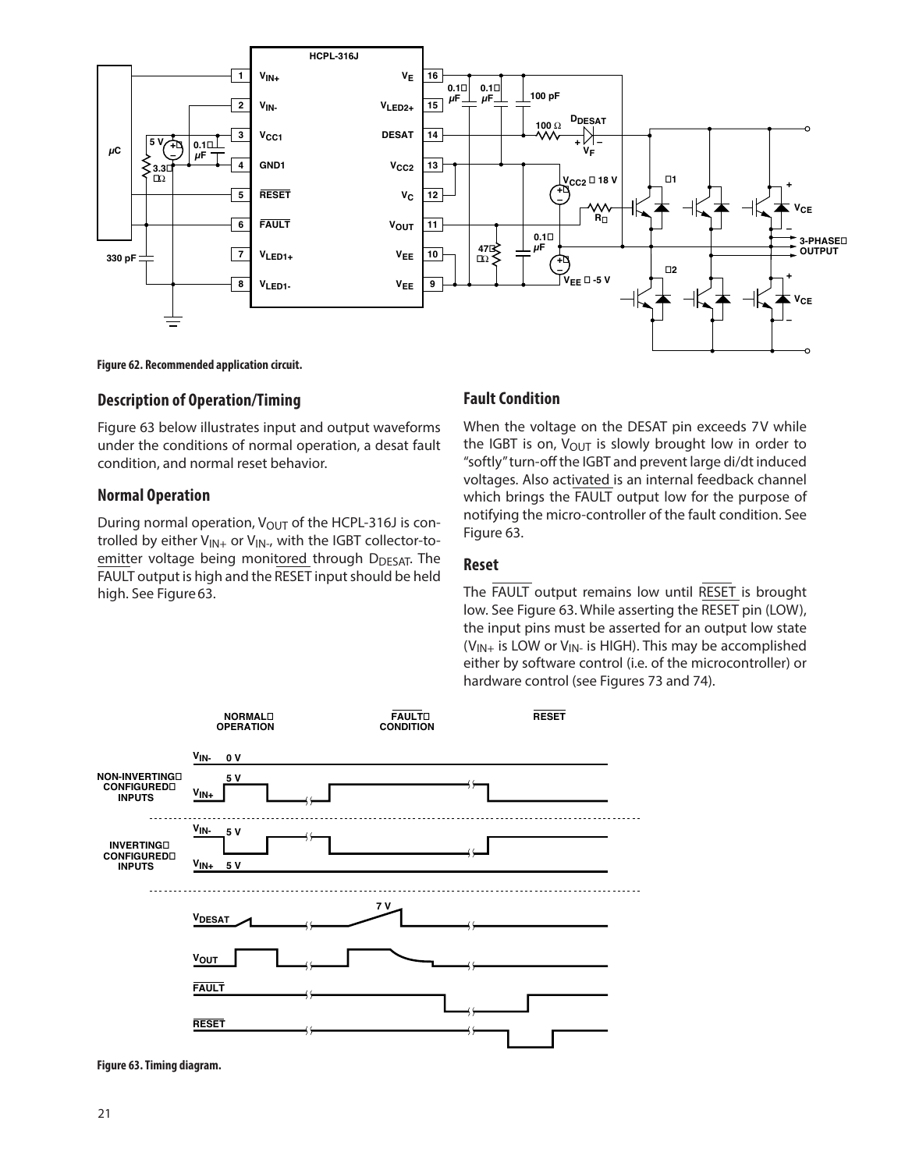

#### **Figure 62. Recommended application circuit.**

#### **Description of Operation/Timing**

Figure 63 below illustrates input and output waveforms under the conditions of normal operation, a desat fault condition, and normal reset behavior.

#### **Normal Operation**

During normal operation,  $V_{\text{OUT}}$  of the HCPL-316J is controlled by either  $V_{IN+}$  or  $V_{IN-}$ , with the IGBT collector-toemitter voltage being monitored through DDESAT. The FAULT output is high and the RESET input should be held high. See Figure 63.

#### **Fault Condition**

When the voltage on the DESAT pin exceeds 7V while the IGBT is on,  $V_{\text{OUT}}$  is slowly brought low in order to "softly" turn-off the IGBT and prevent large di/dt induced voltages. Also activated is an internal feedback channel which brings the FAULT output low for the purpose of notifying the micro-controller of the fault condition. See Figure 63.

#### **Reset**

The FAULT output remains low until RESET is brought low. See Figure 63. While asserting the RESET pin (LOW), the input pins must be asserted for an output low state  $(V_{IN+}$  is LOW or  $V_{IN-}$  is HIGH). This may be accomplished either by software control (i.e. of the microcontroller) or hardware control (see Figures 73 and 74).



**Figure 63. Timing diagram.**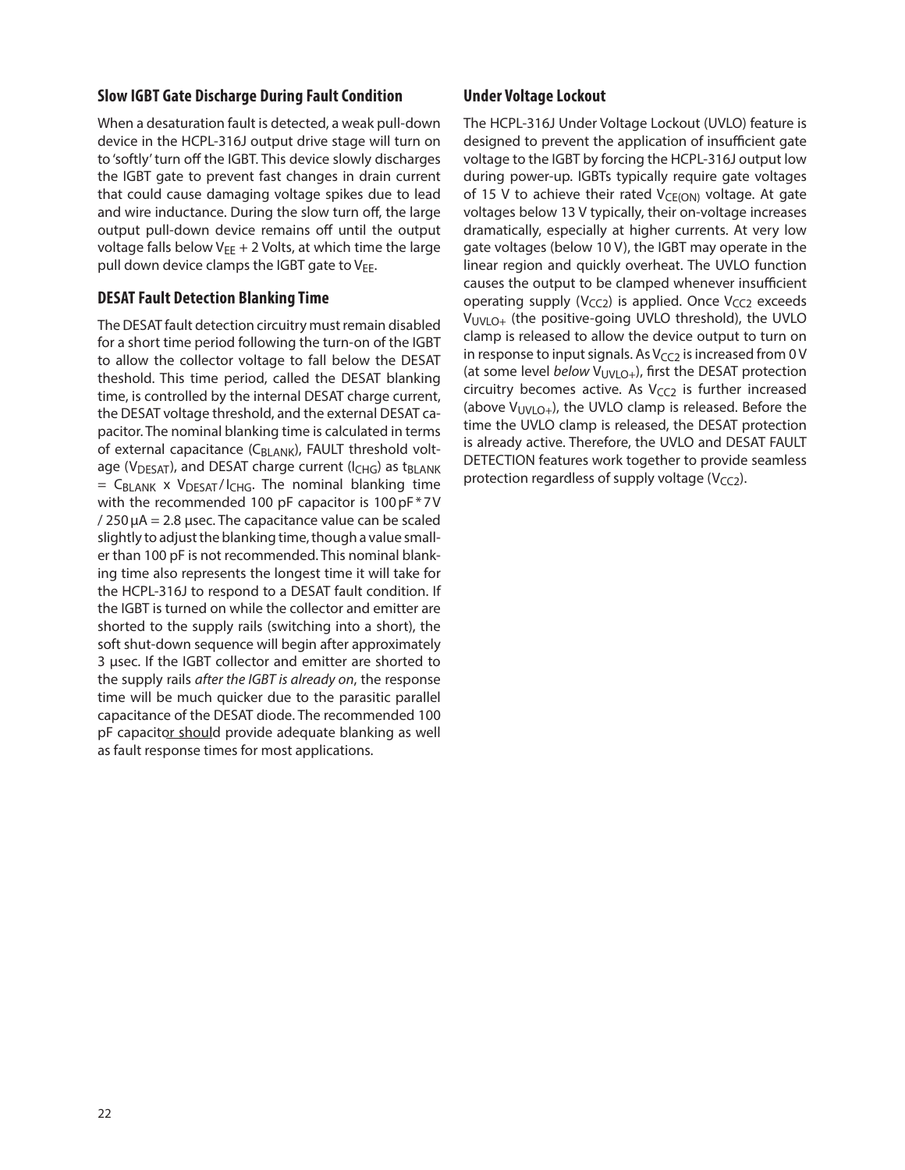## **Slow IGBT Gate Discharge During Fault Condition**

When a desaturation fault is detected, a weak pull-down device in the HCPL-316J output drive stage will turn on to 'softly' turn off the IGBT. This device slowly discharges the IGBT gate to prevent fast changes in drain current that could cause damaging voltage spikes due to lead and wire inductance. During the slow turn off, the large output pull-down device remains off until the output voltage falls below  $V_{EE}$  + 2 Volts, at which time the large pull down device clamps the IGBT gate to  $V_{EE}$ .

# **DESAT Fault Detection Blanking Time**

The DESAT fault detection circuitry must remain disabled for a short time period following the turn-on of the IGBT to allow the collector voltage to fall below the DESAT theshold. This time period, called the DESAT blanking time, is controlled by the internal DESAT charge current, the DESAT voltage threshold, and the external DESAT capacitor. The nominal blanking time is calculated in terms of external capacitance ( $C_{BLANK}$ ), FAULT threshold voltage ( $V_{DESAT}$ ), and DESAT charge current ( $I_{CHG}$ ) as t<sub>BLANK</sub>  $= C_{BLANK} \times V_{DESAT}/I_{CHG}$ . The nominal blanking time with the recommended 100 pF capacitor is 100 pF \*7V  $/250\mu$ A = 2.8 µsec. The capacitance value can be scaled slightly to adjust the blanking time, though a value smaller than 100 pF is not recommended. This nominal blanking time also represents the longest time it will take for the HCPL-316J to respond to a DESAT fault condition. If the IGBT is turned on while the collector and emitter are shorted to the supply rails (switching into a short), the soft shut-down sequence will begin after approximately 3 µsec. If the IGBT collector and emitter are shorted to the supply rails *after the IGBT is already on*, the response time will be much quicker due to the parasitic parallel capacitance of the DESAT diode. The recommended 100 pF capacitor should provide adequate blanking as well as fault response times for most applications.

# **Under Voltage Lockout**

The HCPL-316J Under Voltage Lockout (UVLO) feature is designed to prevent the application of insufficient gate voltage to the IGBT by forcing the HCPL-316J output low during power-up. IGBTs typically require gate voltages of 15 V to achieve their rated  $V_{CE(ON)}$  voltage. At gate voltages below 13 V typically, their on-voltage increases dramatically, especially at higher currents. At very low gate voltages (below 10 V), the IGBT may operate in the linear region and quickly overheat. The UVLO function causes the output to be clamped whenever insufficient operating supply ( $V_{CC2}$ ) is applied. Once  $V_{CC2}$  exceeds  $V<sub>UVLO+</sub>$  (the positive-going UVLO threshold), the UVLO clamp is released to allow the device output to turn on in response to input signals. As  $V_{CC2}$  is increased from 0 V (at some level *below* V<sub>UVLO+</sub>), first the DESAT protection circuitry becomes active. As  $V_{CC2}$  is further increased (above  $V_{UVLO+}$ ), the UVLO clamp is released. Before the time the UVLO clamp is released, the DESAT protection is already active. Therefore, the UVLO and DESAT FAULT DETECTION features work together to provide seamless protection regardless of supply voltage ( $V_{CC2}$ ).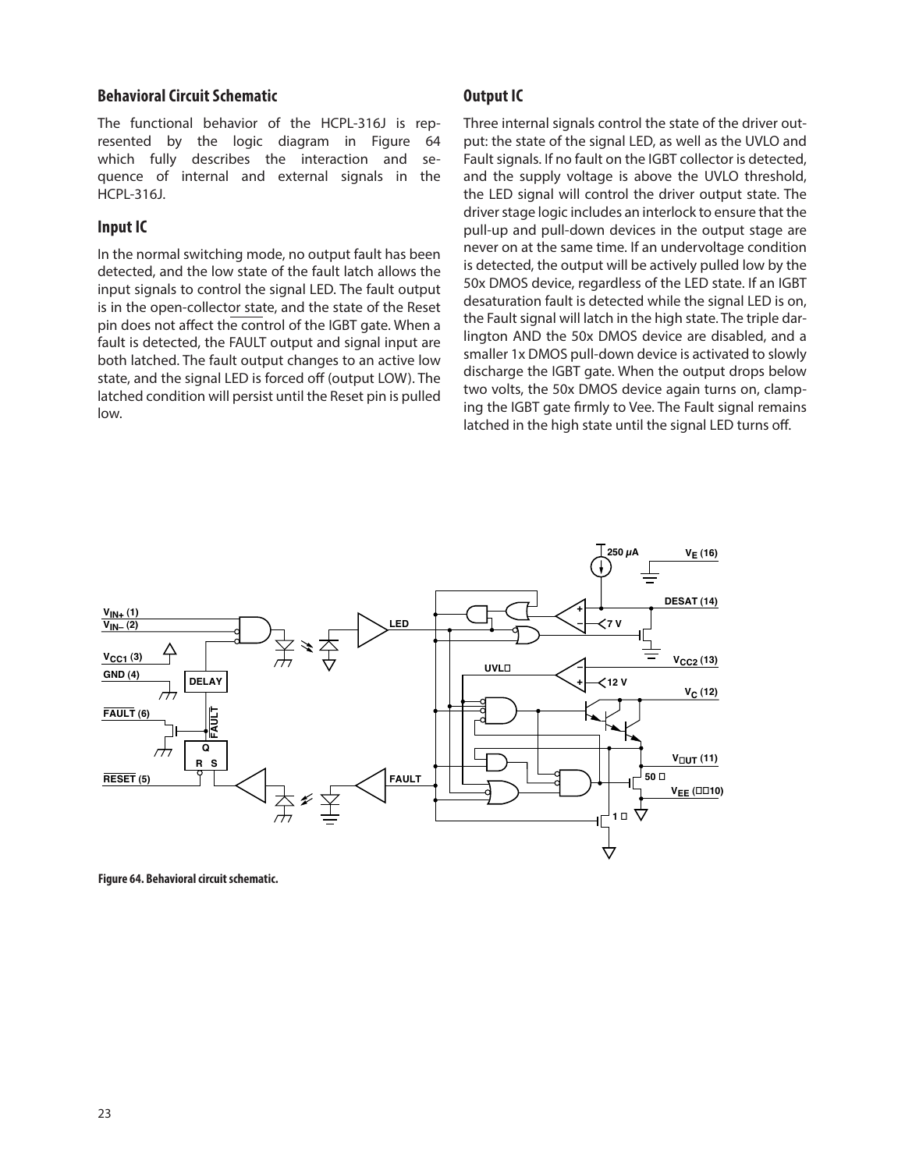#### **Behavioral Circuit Schematic**

The functional behavior of the HCPL-316J is represented by the logic diagram in Figure 64 which fully describes the interaction and sequence of internal and external signals in the HCPL-316J.

#### **Input IC**

In the normal switching mode, no output fault has been detected, and the low state of the fault latch allows the input signals to control the signal LED. The fault output is in the open-collector state, and the state of the Reset pin does not affect the control of the IGBT gate. When a fault is detected, the FAULT output and signal input are both latched. The fault output changes to an active low state, and the signal LED is forced off (output LOW). The latched condition will persist until the Reset pin is pulled low.

#### **Output IC**

Three internal signals control the state of the driver output: the state of the signal LED, as well as the UVLO and Fault signals. If no fault on the IGBT collector is detected, and the supply voltage is above the UVLO threshold, the LED signal will control the driver output state. The driver stage logic includes an interlock to ensure that the pull-up and pull-down devices in the output stage are never on at the same time. If an undervoltage condition is detected, the output will be actively pulled low by the 50x DMOS device, regardless of the LED state. If an IGBT desaturation fault is detected while the signal LED is on, the Fault signal will latch in the high state. The triple darlington AND the 50x DMOS device are disabled, and a smaller 1x DMOS pull-down device is activated to slowly discharge the IGBT gate. When the output drops below two volts, the 50x DMOS device again turns on, clamping the IGBT gate firmly to Vee. The Fault signal remains latched in the high state until the signal LED turns off.



**Figure 64. Behavioral circuit schematic.**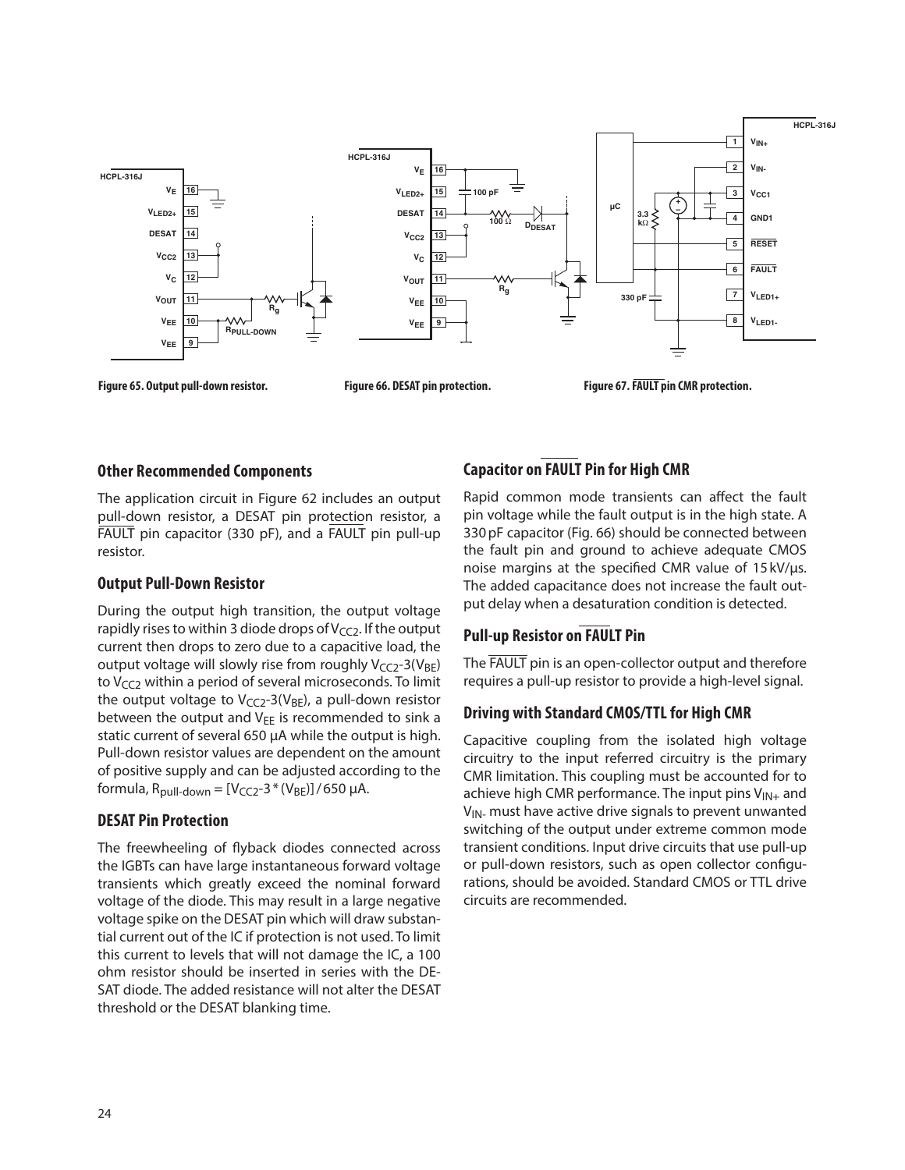

#### **Other Recommended Components**

The application circuit in Figure 62 includes an output pull-down resistor, a DESAT pin protection resistor, a FAULT pin capacitor (330 pF), and a FAULT pin pull-up resistor.

#### **Output Pull-Down Resistor**

During the output high transition, the output voltage rapidly rises to within 3 diode drops of  $V_{CC2}$ . If the output current then drops to zero due to a capacitive load, the output voltage will slowly rise from roughly  $V_{CC2}$ -3(V<sub>BE</sub>) to  $V_{CC2}$  within a period of several microseconds. To limit the output voltage to  $V_{CC2}$ -3( $V_{BE}$ ), a pull-down resistor between the output and  $V_{EE}$  is recommended to sink a static current of several 650 µA while the output is high. Pull-down resistor values are dependent on the amount of positive supply and can be adjusted according to the formula,  $R_{\text{pull-down}} = [V_{CC2} - 3 * (V_{BE})] / 650 \mu A$ .

## **DESAT Pin Protection**

The freewheeling of flyback diodes connected across the IGBTs can have large instantaneous forward voltage transients which greatly exceed the nominal forward voltage of the diode. This may result in a large negative voltage spike on the DESAT pin which will draw substantial current out of the IC if protection is not used. To limit this current to levels that will not damage the IC, a 100 ohm resistor should be inserted in series with the DE-SAT diode. The added resistance will not alter the DESAT threshold or the DESAT blanking time.

# **Capacitor on FAULT Pin for High CMR**

Rapid common mode transients can affect the fault pin voltage while the fault output is in the high state. A 330pF capacitor (Fig. 66) should be connected between the fault pin and ground to achieve adequate CMOS noise margins at the specified CMR value of 15kV/µs. The added capacitance does not increase the fault output delay when a desaturation condition is detected.

# **Pull-up Resistor on FAULT Pin**

The FAULT pin is an open-collector output and therefore requires a pull-up resistor to provide a high-level signal.

## **Driving with Standard CMOS/TTL for High CMR**

Capacitive coupling from the isolated high voltage circuitry to the input referred circuitry is the primary CMR limitation. This coupling must be accounted for to achieve high CMR performance. The input pins  $V_{IN+}$  and V<sub>IN</sub>- must have active drive signals to prevent unwanted switching of the output under extreme common mode transient conditions. Input drive circuits that use pull-up or pull-down resistors, such as open collector configurations, should be avoided. Standard CMOS or TTL drive circuits are recommended.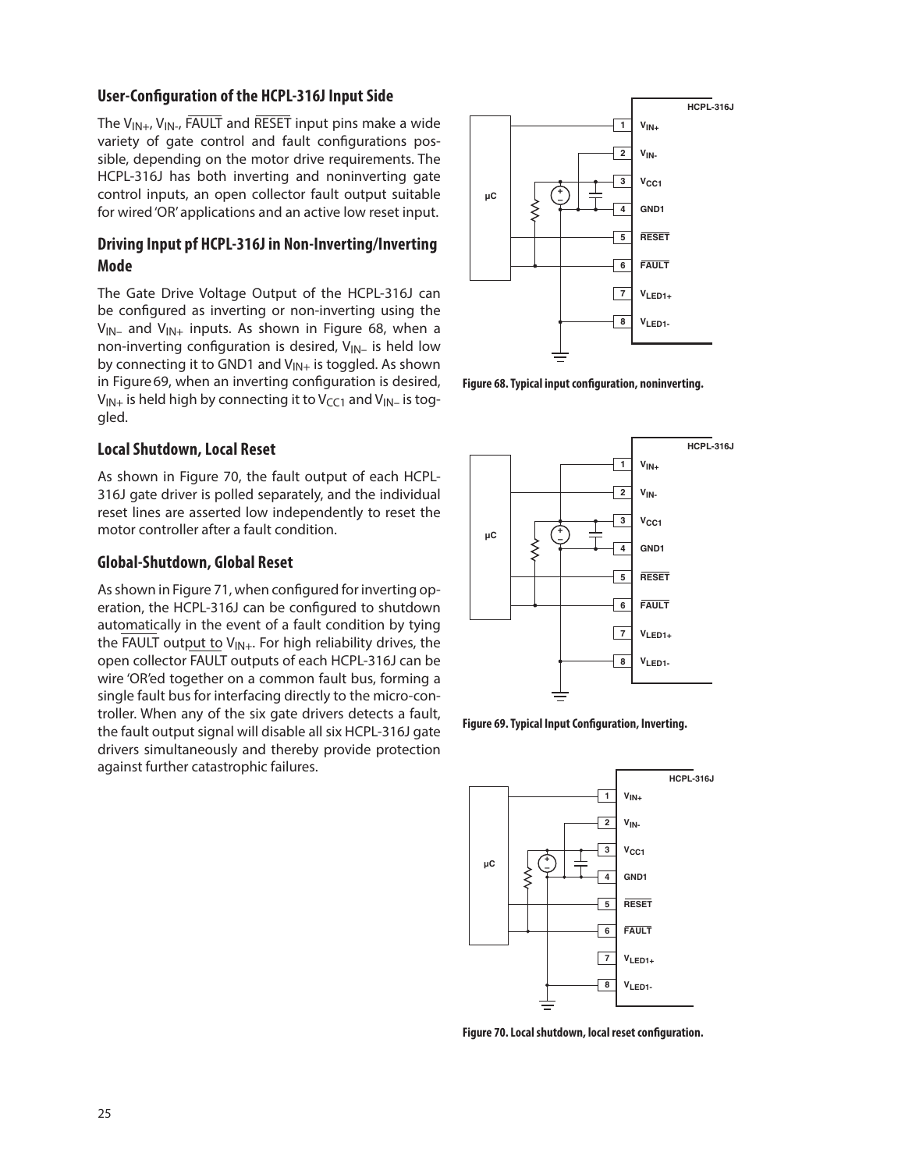#### **User-Configuration of the HCPL-316J Input Side**

The  $V_{IN+}$ ,  $V_{IN-}$ ,  $\overline{FAULT}$  and  $\overline{RESET}$  input pins make a wide variety of gate control and fault configurations possible, depending on the motor drive requirements. The HCPL-316J has both inverting and noninverting gate control inputs, an open collector fault output suitable for wired 'OR' applications and an active low reset input.

# **Driving Input pf HCPL-316J in Non-Inverting/Inverting Mode**

The Gate Drive Voltage Output of the HCPL-316J can be configured as inverting or non-inverting using the  $V_{IN}$  and  $V_{IN}$  inputs. As shown in Figure 68, when a non-inverting configuration is desired,  $V_{IN}$  is held low by connecting it to GND1 and  $V_{IN+}$  is toggled. As shown in Figure69, when an inverting configuration is desired,  $V_{IN+}$  is held high by connecting it to  $V_{CC1}$  and  $V_{IN-}$  is toggled.

## **Local Shutdown, Local Reset**

As shown in Figure 70, the fault output of each HCPL-316J gate driver is polled separately, and the individual reset lines are asserted low independently to reset the motor controller after a fault condition.

#### **Global-Shutdown, Global Reset**

As shown in Figure 71, when configured for inverting operation, the HCPL-316J can be configured to shutdown automatically in the event of a fault condition by tying the FAULT output to  $V_{IN+}$ . For high reliability drives, the open collector FAULT outputs of each HCPL-316J can be wire 'OR'ed together on a common fault bus, forming a single fault bus for interfacing directly to the micro-controller. When any of the six gate drivers detects a fault, the fault output signal will disable all six HCPL-316J gate drivers simultaneously and thereby provide protection against further catastrophic failures.



**Figure 68. Typical input configuration, noninverting.**



**Figure 69. Typical Input Configuration, Inverting.**



**Figure 70. Local shutdown, local reset configuration.**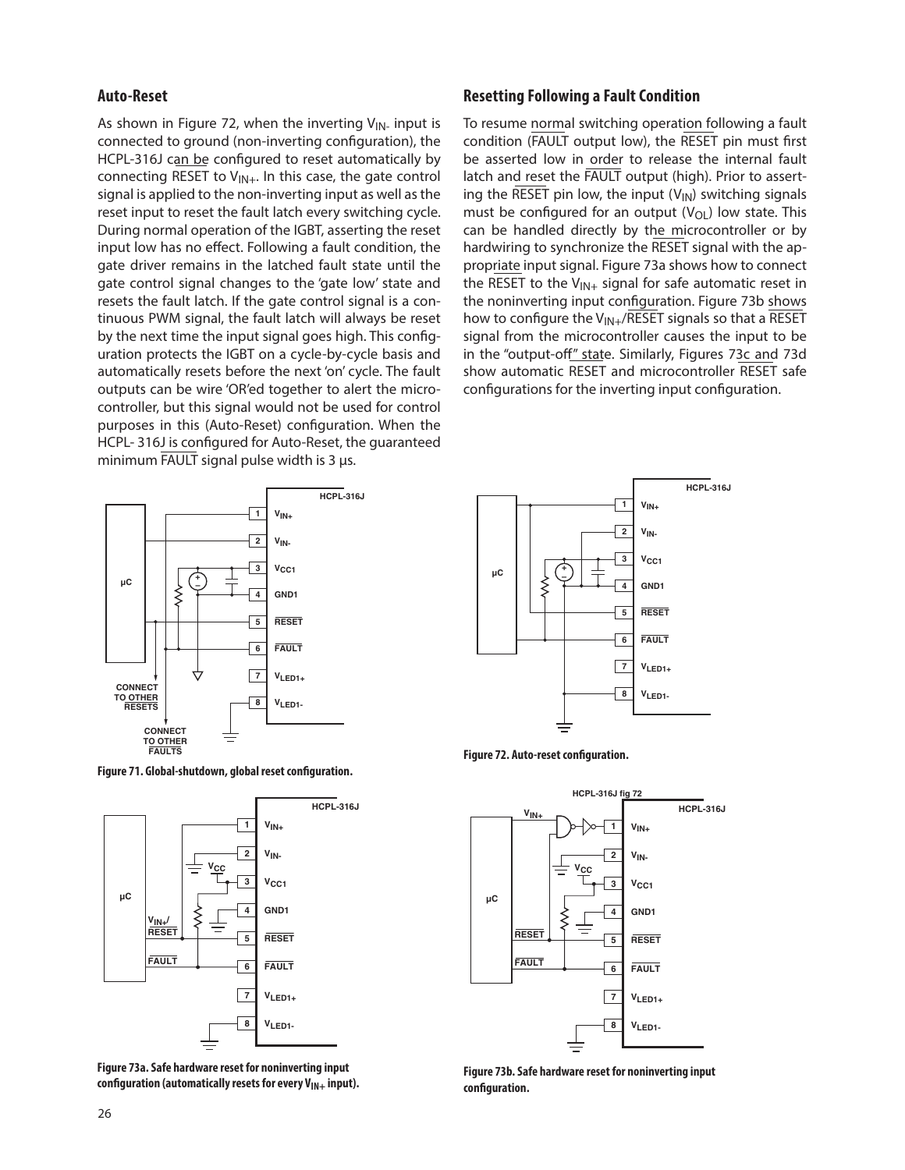#### **Auto-Reset**

As shown in Figure 72, when the inverting  $V_{\text{IN}}$  input is connected to ground (non-inverting configuration), the HCPL-316J can be configured to reset automatically by connecting RESET to  $V_{IN+}$ . In this case, the gate control signal is applied to the non-inverting input as well as the reset input to reset the fault latch every switching cycle. During normal operation of the IGBT, asserting the reset input low has no effect. Following a fault condition, the gate driver remains in the latched fault state until the gate control signal changes to the 'gate low' state and resets the fault latch. If the gate control signal is a continuous PWM signal, the fault latch will always be reset by the next time the input signal goes high. This configuration protects the IGBT on a cycle-by-cycle basis and automatically resets before the next 'on' cycle. The fault outputs can be wire 'OR'ed together to alert the microcontroller, but this signal would not be used for control purposes in this (Auto-Reset) configuration. When the HCPL- 316J is configured for Auto-Reset, the guaranteed minimum FAULT signal pulse width is 3 µs.

#### **Resetting Following a Fault Condition**

To resume normal switching operation following a fault condition (FAULT output low), the RESET pin must first be asserted low in order to release the internal fault latch and reset the FAULT output (high). Prior to asserting the RESET pin low, the input  $(V_{\text{IN}})$  switching signals must be configured for an output  $(V<sub>OL</sub>)$  low state. This can be handled directly by the microcontroller or by hardwiring to synchronize the RESET signal with the appropriate input signal. Figure 73a shows how to connect the RESET to the  $V_{IN+}$  signal for safe automatic reset in the noninverting input configuration. Figure 73b shows how to configure the  $V_{IN+}/RESET$  signals so that a RESET signal from the microcontroller causes the input to be in the "output-off" state. Similarly, Figures 73c and 73d show automatic RESET and microcontroller RESET safe configurations for the inverting input configuration.



**Figure 71. Global-shutdown, global reset configuration.**



**Figure 73a. Safe hardware reset for noninverting input**  configuration (automatically resets for every V<sub>IN+</sub> input).



**Figure 72. Auto-reset configuration.**



**Figure 73b. Safe hardware reset for noninverting input configuration.**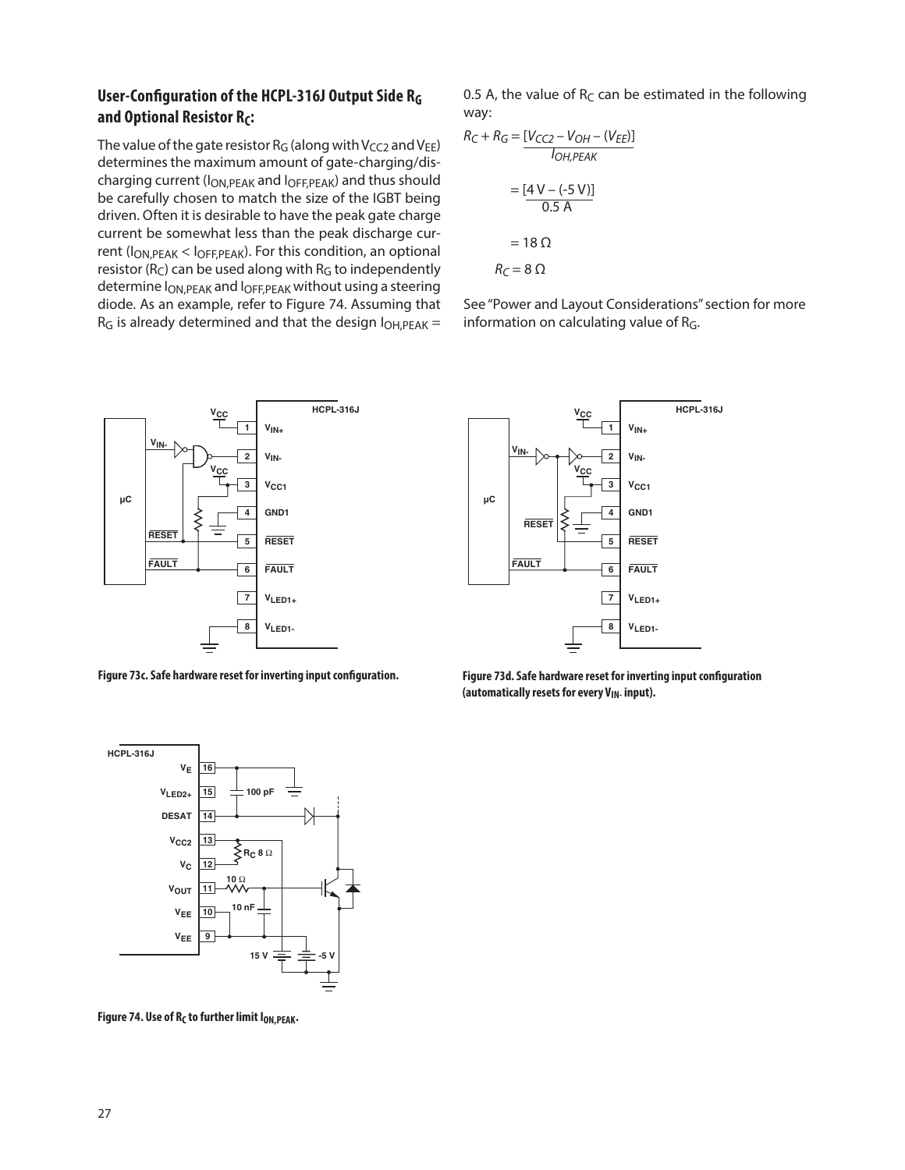# **User-Configuration of the HCPL-316J Output Side RG and Optional Resistor Rc:**

The value of the gate resistor  $R_G$  (along with  $V_{CC2}$  and  $V_{EE}$ ) determines the maximum amount of gate-charging/discharging current (ION,PEAK and IOFF,PEAK) and thus should be carefully chosen to match the size of the IGBT being driven. Often it is desirable to have the peak gate charge current be somewhat less than the peak discharge current (ION,PEAK < IOFF,PEAK). For this condition, an optional resistor ( $R_C$ ) can be used along with  $R_G$  to independently determine ION,PEAK and IOFF,PEAK without using a steering diode. As an example, refer to Figure 74. Assuming that  $R<sub>G</sub>$  is already determined and that the design  $I<sub>OH,PEAK</sub> =$  0.5 A, the value of  $R_C$  can be estimated in the following way:

$$
R_C + R_G = \frac{[V_{CC2} - V_{OH} - (V_{EE})]}{I_{OH,PEAK}}
$$

$$
= \frac{[4 \text{ V} - (-5 \text{ V})]}{0.5 \text{ A}}
$$

$$
= 18 \text{ }\Omega
$$

$$
R_C = 8 \text{ }\Omega
$$

See "Power and Layout Considerations" section for more information on calculating value of RG.



**Figure 73c. Safe hardware reset for inverting input configuration.**



**Figure 73d. Safe hardware reset for inverting input configuration**  (automatically resets for every V<sub>IN</sub>. input).



Figure 74. Use of R<sub>C</sub> to further limit I<sub>ON, PEAK</sub>.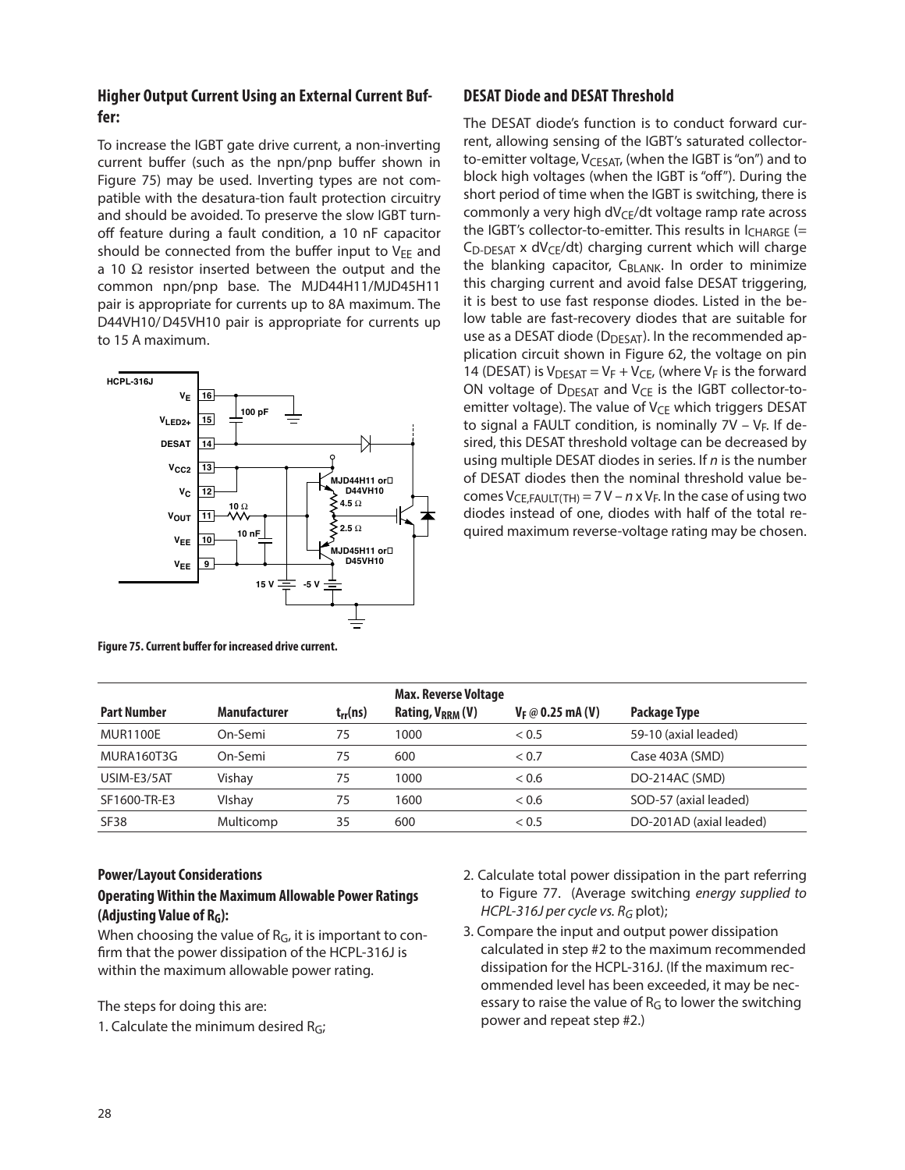# **Higher Output Current Using an External Current Buffer:**

To increase the IGBT gate drive current, a non-inverting current buffer (such as the npn/pnp buffer shown in Figure 75) may be used. Inverting types are not compatible with the desatura-tion fault protection circuitry and should be avoided. To preserve the slow IGBT turnoff feature during a fault condition, a 10 nF capacitor should be connected from the buffer input to  $V_{EE}$  and a 10  $\Omega$  resistor inserted between the output and the common npn/pnp base. The MJD44H11/MJD45H11 pair is appropriate for currents up to 8A maximum. The D44VH10/D45VH10 pair is appropriate for currents up to 15 A maximum.



**DESAT Diode and DESAT Threshold**

The DESAT diode's function is to conduct forward current, allowing sensing of the IGBT's saturated collectorto-emitter voltage,  $V_{\text{CESAT}}$ , (when the IGBT is "on") and to block high voltages (when the IGBT is "off"). During the short period of time when the IGBT is switching, there is commonly a very high  $dV_{CE}/dt$  voltage ramp rate across the IGBT's collector-to-emitter. This results in  $I_{CHARGF}$  (=  $C_{D-DFSAT}$  x dV $CF/dt$ ) charging current which will charge the blanking capacitor,  $C_{BLANK}$ . In order to minimize this charging current and avoid false DESAT triggering, it is best to use fast response diodes. Listed in the below table are fast-recovery diodes that are suitable for use as a DESAT diode ( $D_{DESAT}$ ). In the recommended application circuit shown in Figure 62, the voltage on pin 14 (DESAT) is  $V_{DESAT} = V_F + V_{CE}$ , (where  $V_F$  is the forward ON voltage of  $D_{DESAT}$  and  $V_{CE}$  is the IGBT collector-toemitter voltage). The value of  $V_{CE}$  which triggers DESAT to signal a FAULT condition, is nominally  $7V - V_F$ . If desired, this DESAT threshold voltage can be decreased by using multiple DESAT diodes in series. If *n* is the number of DESAT diodes then the nominal threshold value becomes  $V_{CE,FAULT(TH)} = 7 V - n \times V_F$ . In the case of using two diodes instead of one, diodes with half of the total required maximum reverse-voltage rating may be chosen.

|                    |                     |              | <b>Max. Reverse Voltage</b>  |                             |                         |
|--------------------|---------------------|--------------|------------------------------|-----------------------------|-------------------------|
| <b>Part Number</b> | <b>Manufacturer</b> | $t_{rr}(ns)$ | Rating, V <sub>RRM</sub> (V) | $V_F @ 0.25 \text{ mA} (V)$ | <b>Package Type</b>     |
| <b>MUR1100E</b>    | On-Semi             | 75           | 1000                         | < 0.5                       | 59-10 (axial leaded)    |
| MURA160T3G         | On-Semi             | 75           | 600                          | < 0.7                       | Case 403A (SMD)         |
| USIM-E3/5AT        | Vishay              | 75           | 1000                         | < 0.6                       | DO-214AC (SMD)          |
| SF1600-TR-E3       | Vishay              | 75           | 1600                         | < 0.6                       | SOD-57 (axial leaded)   |
| <b>SF38</b>        | Multicomp           | 35           | 600                          | < 0.5                       | DO-201AD (axial leaded) |

**Figure 75. Current buffer for increased drive current.**

#### **Power/Layout Considerations**

## **Operating Within the Maximum Allowable Power Ratings (Adjusting Value of RG):**

When choosing the value of  $R_G$ , it is important to confirm that the power dissipation of the HCPL-316J is within the maximum allowable power rating.

The steps for doing this are:

1. Calculate the minimum desired  $R_G$ ;

- 2. Calculate total power dissipation in the part referring to Figure 77. (Average switching *energy supplied to HCPL‑316J per cycle vs. RG* plot);
- 3. Compare the input and output power dissipation calculated in step #2 to the maximum recommended dissipation for the HCPL-316J. (If the maximum recommended level has been exceeded, it may be necessary to raise the value of  $R<sub>G</sub>$  to lower the switching power and repeat step #2.)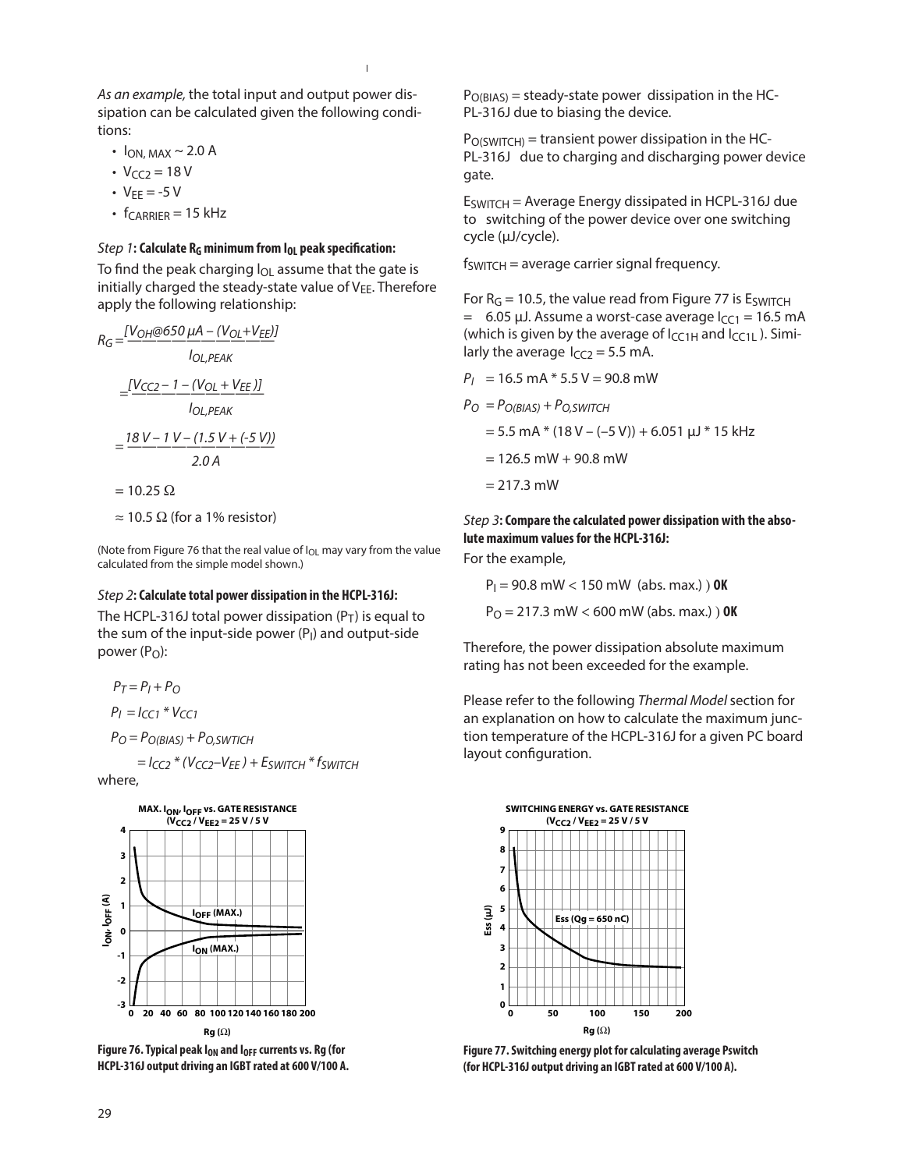*As an example,* the total input and output power dissipation can be calculated given the following conditions:

- $\cdot$  I<sub>ON, MAX</sub>  $\sim$  2.0 A
- $V_{CC2} = 18 V$
- $V_{FF} = -5 V$
- $\cdot$  f<sub>CARRIER</sub> = 15 kHz

#### *Step 1***: Calculate R<sub>G</sub> minimum from I<sub>OL</sub> peak specification:**

To find the peak charging  $I_{OL}$  assume that the gate is initially charged the steady-state value of  $V_{EE}$ . Therefore apply the following relationship:

$$
R_G = \frac{[V_{OH}@650 \,\mu A - (V_{OL} + V_{EE})]}{I_{OL,PEAK}}
$$

$$
= \frac{[V_{CC2} - 1 - (V_{OL} + V_{EE})]}{I_{OL,PEAK}}
$$

$$
= \frac{18 \,V - 1 \,V - (1.5 \,V + (-5 \,V))}{2.0 \,A}
$$

$$
= 10.25 \,\Omega
$$

$$
\approx 10.5 \,\Omega \text{ (for a 1% resistor)}
$$

(Note from Figure 76 that the real value of  $I<sub>OL</sub>$  may vary from the value calculated from the simple model shown.)

#### *Step 2***: Calculate total power dissipation in the HCPL-316J:**

The HCPL-316J total power dissipation  $(P_T)$  is equal to the sum of the input-side power  $(P_1)$  and output-side power  $(P<sub>O</sub>)$ :

$$
P_T = P_I + P_O
$$
  
\n
$$
P_I = I_{CC1} * V_{CC1}
$$
  
\n
$$
P_O = P_{O(BIAS)} + P_{O,SWTICH}
$$
  
\n
$$
= I_{CC2} * (V_{CC2} - V_{EE}) + E_{SWITCH} * f_{SWITCH}
$$
  
\nwhere,



Figure 76. Typical peak I<sub>ON</sub> and I<sub>OFF</sub> currents vs. Rg (for **HCPL-316J output driving an IGBT rated at 600 V/100 A.**

 $P<sub>O(BIAS)</sub>$  = steady-state power dissipation in the HC-PL-316J due to biasing the device.

 $P<sub>O(SWITCH)</sub>$  = transient power dissipation in the HC-PL-316J due to charging and discharging power device gate.

ESWITCH = Average Energy dissipated in HCPL-316J due to switching of the power device over one switching cycle (µJ/cycle).

 $f_{SWITCH}$  = average carrier signal frequency.

For  $R_G = 10.5$ , the value read from Figure 77 is  $E_{SWITCH}$  $=$  6.05 µJ. Assume a worst-case average  $I_{CC1} = 16.5$  mA (which is given by the average of  $C_{CH}$  and  $C_{CH}$ ). Similarly the average  $I_{CC2} = 5.5$  mA.

$$
P_1 = 16.5 \text{ mA} * 5.5 \text{ V} = 90.8 \text{ mW}
$$

$$
P_O = P_{O(B|AS)} + P_{O,SWITCH}
$$

- $= 5.5$  mA  $*$  (18 V (-5 V)) + 6.051  $\mu$ J  $*$  15 kHz
- $= 126.5$  mW + 90.8 mW
- $= 217.3$  mW

#### *Step 3***: Compare the calculated power dissipation with the absolute maximum values for the HCPL-316J:**

For the example,

 $P_1 = 90.8$  mW < 150 mW (abs. max.) ) **OK** 

 $P_{\Omega}$  = 217.3 mW < 600 mW (abs. max.) ) **OK** 

Therefore, the power dissipation absolute maximum rating has not been exceeded for the example.

Please refer to the following *Thermal Model* section for an explanation on how to calculate the maximum junction temperature of the HCPL-316J for a given PC board layout configuration.



**Figure 77. Switching energy plot for calculating average Pswitch (for HCPL-316J output driving an IGBT rated at 600 V/100 A).**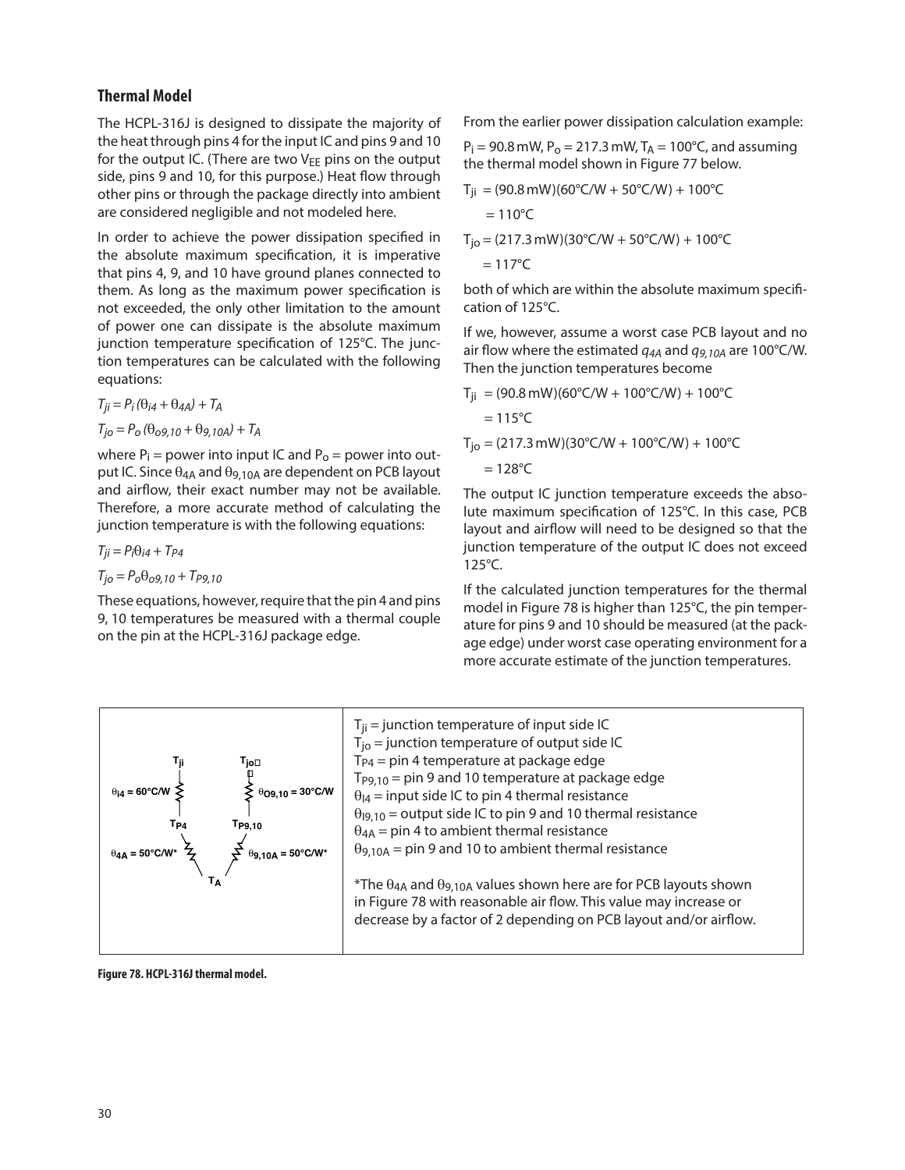#### **Thermal Model**

The HCPL-316J is designed to dissipate the majority of the heat through pins 4 for the input IC and pins 9 and 10 for the output IC. (There are two  $V_{FF}$  pins on the output side, pins 9 and 10, for this purpose.) Heat flow through other pins or through the package directly into ambient are considered negligible and not modeled here.

In order to achieve the power dissipation specified in the absolute maximum specification, it is imperative that pins 4, 9, and 10 have ground planes connected to them. As long as the maximum power specification is not exceeded, the only other limitation to the amount of power one can dissipate is the absolute maximum junction temperature specification of 125°C. The junction temperatures can be calculated with the following equations:

$$
T_{ji} = P_i (\theta_{i4} + \theta_{4A}) + T_A
$$
  
\n
$$
T_{io} = P_o (\theta_{o9,10} + \theta_{9,10A}) + T_A
$$

where  $P_i$  = power into input IC and  $P_o$  = power into output IC. Since  $\theta_{4A}$  and  $\theta_{9,10A}$  are dependent on PCB layout and airflow, their exact number may not be available. Therefore, a more accurate method of calculating the junction temperature is with the following equations:

 $T_{ii} = P_i \theta_{i4} + T_{P4}$  $T_{io} = P_o\theta_{o9,10} + T_{P9,10}$ 

These equations, however, require that the pin 4 and pins 9, 10 temperatures be measured with a thermal couple on the pin at the HCPL-316J package edge.

From the earlier power dissipation calculation example:

 $P_i = 90.8$  mW,  $P_o = 217.3$  mW,  $T_A = 100$ °C, and assuming the thermal model shown in Figure 77 below.

$$
T_{ji} = (90.8 \text{ mW})(60^{\circ}C/W + 50^{\circ}C/W) + 100^{\circ}C
$$
  
= 110^{\circ}C  

$$
T_{jo} = (217.3 \text{ mW})(30^{\circ}C/W + 50^{\circ}C/W) + 100^{\circ}C
$$
  
= 117^{\circ}C

both of which are within the absolute maximum specification of 125°C.

If we, however, assume a worst case PCB layout and no air flow where the estimated *q4A* and *q9,10A* are 100°C/W. Then the junction temperatures become

 $T_{ii} = (90.8 \,\text{mW})(60^{\circ}\text{C/W} + 100^{\circ}\text{C/W}) + 100^{\circ}\text{C}$  $= 115^{\circ}C$  $T_{jo} = (217.3 \text{ mW})(30^{\circ} \text{C/W} + 100^{\circ} \text{C/W}) + 100^{\circ} \text{C}$  $= 128^{\circ}C$ 

The output IC junction temperature exceeds the absolute maximum specification of 125°C. In this case, PCB layout and airflow will need to be designed so that the junction temperature of the output IC does not exceed 125°C.

If the calculated junction temperatures for the thermal model in Figure 78 is higher than 125°C, the pin temperature for pins 9 and 10 should be measured (at the package edge) under worst case operating environment for a more accurate estimate of the junction temperatures.



**Figure 78. HCPL-316J thermal model.**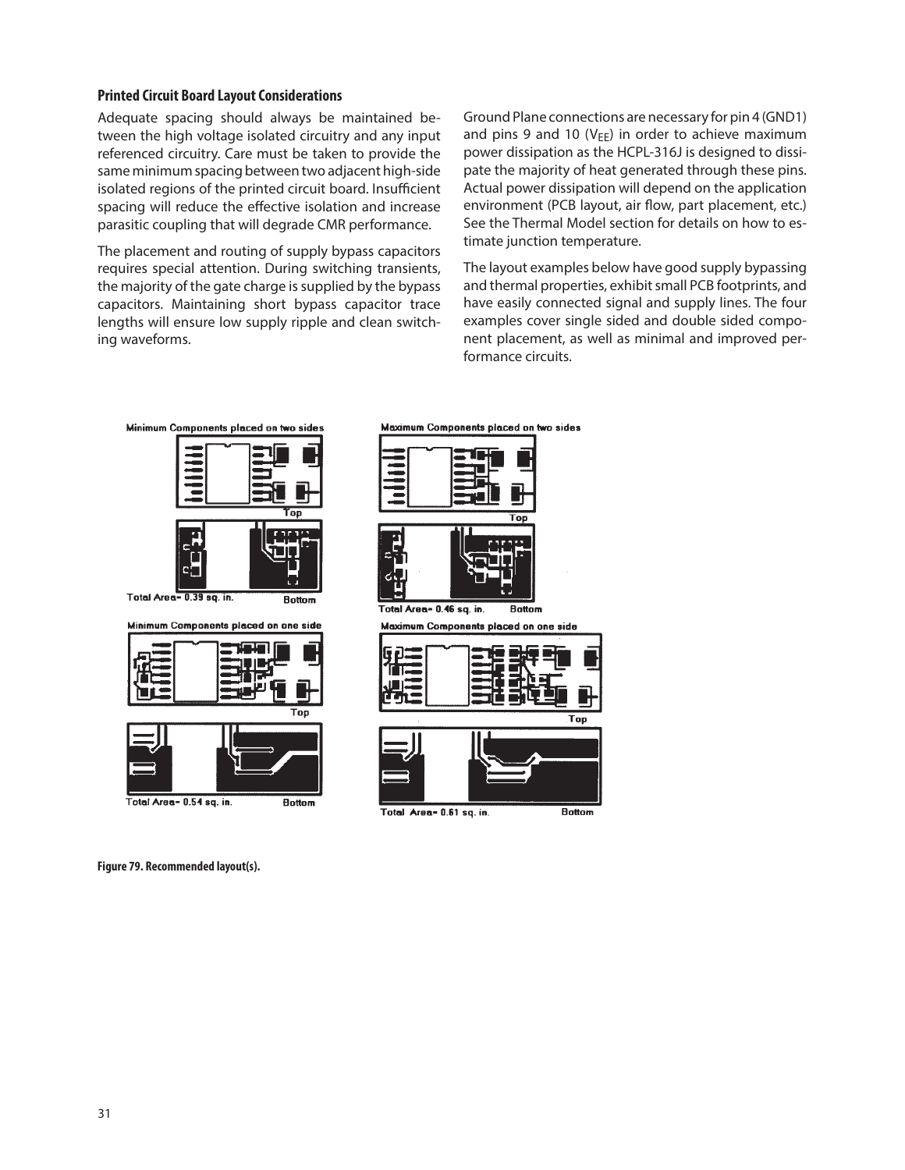#### **Printed Circuit Board Layout Considerations**

Adequate spacing should always be maintained between the high voltage isolated circuitry and any input referenced circuitry. Care must be taken to provide the same minimum spacing between two adjacent high-side isolated regions of the printed circuit board. Insufficient spacing will reduce the effective isolation and increase parasitic coupling that will degrade CMR performance.

The placement and routing of supply bypass capacitors requires special attention. During switching transients, the majority of the gate charge is supplied by the bypass capacitors. Maintaining short bypass capacitor trace lengths will ensure low supply ripple and clean switching waveforms.

Ground Plane connections are necessary for pin 4 (GND1) and pins 9 and 10 ( $V_{EE}$ ) in order to achieve maximum power dissipation as the HCPL-316J is designed to dissipate the majority of heat generated through these pins. Actual power dissipation will depend on the application environment (PCB layout, air flow, part placement, etc.) See the Thermal Model section for details on how to estimate junction temperature.

The layout examples below have good supply bypassing and thermal properties, exhibit small PCB footprints, and have easily connected signal and supply lines. The four examples cover single sided and double sided component placement, as well as minimal and improved performance circuits.





Total Area- 0.39 sq. in. **Bottom** 

Minimum Components placed on one side



**Figure 79. Recommended layout(s).**

Maximum Components placed on two sides



Total Area- 0.46 sq. in. **Bottom** 

Maximum Components placed on one side





Total Area- 0.61 sq. in.